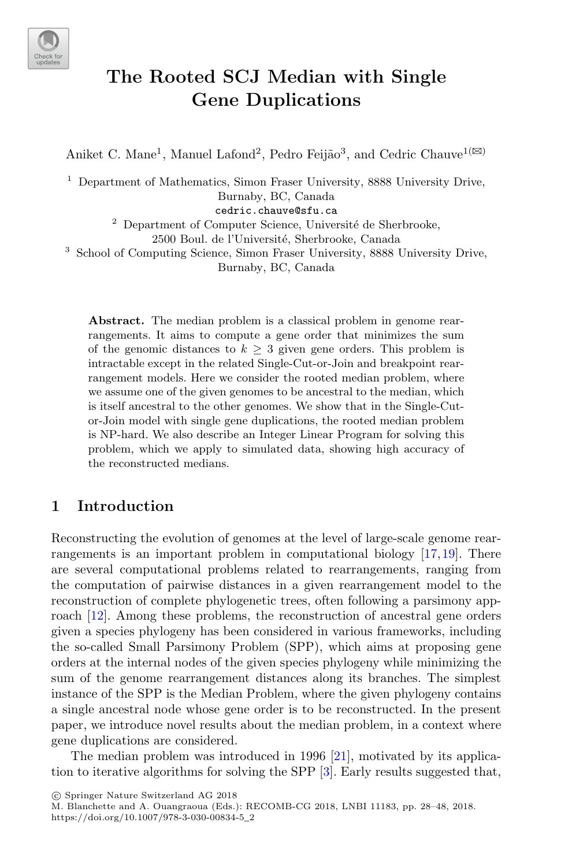

# **The Rooted SCJ Median with Single Gene Duplications**

Aniket C. Mane<sup>1</sup>, Manuel Lafond<sup>2</sup>, Pedro Feijão<sup>3</sup>, and Cedric Chauve<sup>1( $\boxtimes$ )</sub></sup>

<sup>1</sup> Department of Mathematics, Simon Fraser University, 8888 University Drive, Burnaby, BC, Canada

cedric.chauve@sfu.ca

 $^{\rm 2}$  Department of Computer Science, Université de Sherbrooke,

2500 Boul. de l'Université, Sherbrooke, Canada

<sup>3</sup> School of Computing Science, Simon Fraser University, 8888 University Drive, Burnaby, BC, Canada

**Abstract.** The median problem is a classical problem in genome rearrangements. It aims to compute a gene order that minimizes the sum of the genomic distances to  $k > 3$  given gene orders. This problem is intractable except in the related Single-Cut-or-Join and breakpoint rearrangement models. Here we consider the rooted median problem, where we assume one of the given genomes to be ancestral to the median, which is itself ancestral to the other genomes. We show that in the Single-Cutor-Join model with single gene duplications, the rooted median problem is NP-hard. We also describe an Integer Linear Program for solving this problem, which we apply to simulated data, showing high accuracy of the reconstructed medians.

# **1 Introduction**

Reconstructing the evolution of genomes at the level of large-scale genome rearrangements is an important problem in computational biology [\[17](#page-20-0),[19\]](#page-20-1). There are several computational problems related to rearrangements, ranging from the computation of pairwise distances in a given rearrangement model to the reconstruction of complete phylogenetic trees, often following a parsimony app-roach [\[12\]](#page-20-2). Among these problems, the reconstruction of ancestral gene orders given a species phylogeny has been considered in various frameworks, including the so-called Small Parsimony Problem (SPP), which aims at proposing gene orders at the internal nodes of the given species phylogeny while minimizing the sum of the genome rearrangement distances along its branches. The simplest instance of the SPP is the Median Problem, where the given phylogeny contains a single ancestral node whose gene order is to be reconstructed. In the present paper, we introduce novel results about the median problem, in a context where gene duplications are considered.

The median problem was introduced in 1996 [\[21\]](#page-20-3), motivated by its application to iterative algorithms for solving the SPP [\[3](#page-19-0)]. Early results suggested that,

-c Springer Nature Switzerland AG 2018

M. Blanchette and A. Ouangraoua (Eds.): RECOMB-CG 2018, LNBI 11183, pp. 28–48, 2018. https://doi.org/10.1007/978-3-030-00834-5\_2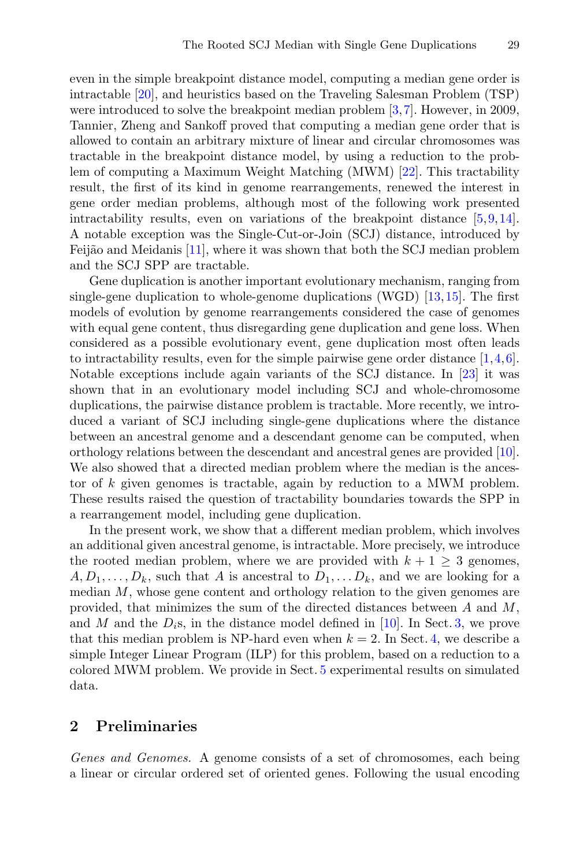even in the simple breakpoint distance model, computing a median gene order is intractable [\[20](#page-20-4)], and heuristics based on the Traveling Salesman Problem (TSP) were introduced to solve the breakpoint median problem [\[3](#page-19-0)[,7](#page-19-1)]. However, in 2009, Tannier, Zheng and Sankoff proved that computing a median gene order that is allowed to contain an arbitrary mixture of linear and circular chromosomes was tractable in the breakpoint distance model, by using a reduction to the problem of computing a Maximum Weight Matching (MWM) [\[22](#page-20-5)]. This tractability result, the first of its kind in genome rearrangements, renewed the interest in gene order median problems, although most of the following work presented intractability results, even on variations of the breakpoint distance [\[5](#page-19-2)[,9](#page-19-3),[14\]](#page-20-6). A notable exception was the Single-Cut-or-Join (SCJ) distance, introduced by Feijão and Meidanis [\[11](#page-20-7)], where it was shown that both the SCJ median problem and the SCJ SPP are tractable.

Gene duplication is another important evolutionary mechanism, ranging from single-gene duplication to whole-genome duplications (WGD) [\[13](#page-20-8)[,15](#page-20-9)]. The first models of evolution by genome rearrangements considered the case of genomes with equal gene content, thus disregarding gene duplication and gene loss. When considered as a possible evolutionary event, gene duplication most often leads to intractability results, even for the simple pairwise gene order distance  $[1,4,6]$  $[1,4,6]$  $[1,4,6]$  $[1,4,6]$ . Notable exceptions include again variants of the SCJ distance. In [\[23](#page-20-10)] it was shown that in an evolutionary model including SCJ and whole-chromosome duplications, the pairwise distance problem is tractable. More recently, we introduced a variant of SCJ including single-gene duplications where the distance between an ancestral genome and a descendant genome can be computed, when orthology relations between the descendant and ancestral genes are provided [\[10\]](#page-20-11). We also showed that a directed median problem where the median is the ancestor of k given genomes is tractable, again by reduction to a MWM problem. These results raised the question of tractability boundaries towards the SPP in a rearrangement model, including gene duplication.

In the present work, we show that a different median problem, which involves an additional given ancestral genome, is intractable. More precisely, we introduce the rooted median problem, where we are provided with  $k + 1 \geq 3$  genomes,  $A, D_1, \ldots, D_k$ , such that A is ancestral to  $D_1, \ldots, D_k$ , and we are looking for a median  $M$ , whose gene content and orthology relation to the given genomes are provided, that minimizes the sum of the directed distances between  $A$  and  $M$ , and M and the  $D_i$ s, in the distance model defined in [\[10\]](#page-20-11). In Sect. [3,](#page-5-0) we prove that this median problem is NP-hard even when  $k = 2$ . In Sect. [4,](#page-8-0) we describe a simple Integer Linear Program (ILP) for this problem, based on a reduction to a colored MWM problem. We provide in Sect. [5](#page-12-0) experimental results on simulated data.

### **2 Preliminaries**

*Genes and Genomes.* A genome consists of a set of chromosomes, each being a linear or circular ordered set of oriented genes. Following the usual encoding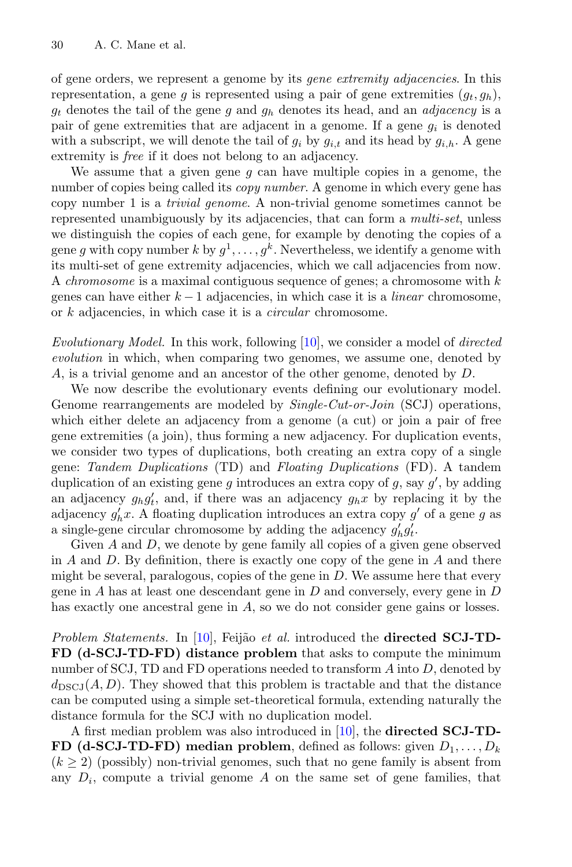of gene orders, we represent a genome by its *gene extremity adjacencies*. In this representation, a gene g is represented using a pair of gene extremities  $(q_t, q_h)$ , <sup>g</sup>t denotes the tail of the gene <sup>g</sup> and <sup>g</sup>h denotes its head, and an *adjacency* is a pair of gene extremities that are adjacent in a genome. If a gene  $g_i$  is denoted with a subscript, we will denote the tail of  $g_i$  by  $g_{i,t}$  and its head by  $g_{i,h}$ . A gene extremity is *free* if it does not belong to an adjacency.

We assume that a given gene  $q$  can have multiple copies in a genome, the number of copies being called its *copy number*. A genome in which every gene has copy number 1 is a *trivial genome*. A non-trivial genome sometimes cannot be represented unambiguously by its adjacencies, that can form a *multi-set*, unless we distinguish the copies of each gene, for example by denoting the copies of a gene q with copy number k by  $q^1, \ldots, q^k$ . Nevertheless, we identify a genome with its multi-set of gene extremity adjacencies, which we call adjacencies from now. A *chromosome* is a maximal contiguous sequence of genes; a chromosome with k genes can have either k − 1 adjacencies, in which case it is a *linear* chromosome, or k adjacencies, in which case it is a *circular* chromosome.

*Evolutionary Model.* In this work, following [\[10](#page-20-11)], we consider a model of *directed evolution* in which, when comparing two genomes, we assume one, denoted by A, is a trivial genome and an ancestor of the other genome, denoted by D.

We now describe the evolutionary events defining our evolutionary model. Genome rearrangements are modeled by *Single-Cut-or-Join* (SCJ) operations, which either delete an adjacency from a genome (a cut) or join a pair of free gene extremities (a join), thus forming a new adjacency. For duplication events, we consider two types of duplications, both creating an extra copy of a single gene: *Tandem Duplications* (TD) and *Floating Duplications* (FD). A tandem duplication of an existing gene g introduces an extra copy of g, say  $g'$ , by adding an adjacency  $g_h g'_t$ , and, if there was an adjacency  $g_h x$  by replacing it by the adjacency  $g'_t x \Delta$  floating duplication introduces an extra copy  $g'_t$  of a gone g as adjacency  $g'_h x$ . A floating duplication introduces an extra copy g' of a gene g as<br>a single-gene circular chromosome by adding the adjacency g' g' a single-gene circular chromosome by adding the adjacency  $g'_h g'_t$ .<br>Civen A and D, we denote by gene family all copies of a given

Given A and D, we denote by gene family all copies of a given gene observed in  $A$  and  $D$ . By definition, there is exactly one copy of the gene in  $A$  and there might be several, paralogous, copies of the gene in  $D$ . We assume here that every gene in  $A$  has at least one descendant gene in  $D$  and conversely, every gene in  $D$ has exactly one ancestral gene in A, so we do not consider gene gains or losses.

*Problem Statements.* In [\[10](#page-20-11)], Feijão *et al.* introduced the **directed SCJ-TD-FD (d-SCJ-TD-FD) distance problem** that asks to compute the minimum number of SCJ, TD and FD operations needed to transform  $A$  into  $D$ , denoted by  $d_{\text{DSCJ}}(A, D)$ . They showed that this problem is tractable and that the distance can be computed using a simple set-theoretical formula, extending naturally the distance formula for the SCJ with no duplication model.

A first median problem was also introduced in [\[10\]](#page-20-11), the **directed SCJ-TD-FD (d-SCJ-TD-FD) median problem**, defined as follows: given  $D_1, \ldots, D_k$  $(k \geq 2)$  (possibly) non-trivial genomes, such that no gene family is absent from any  $D_i$ , compute a trivial genome A on the same set of gene families, that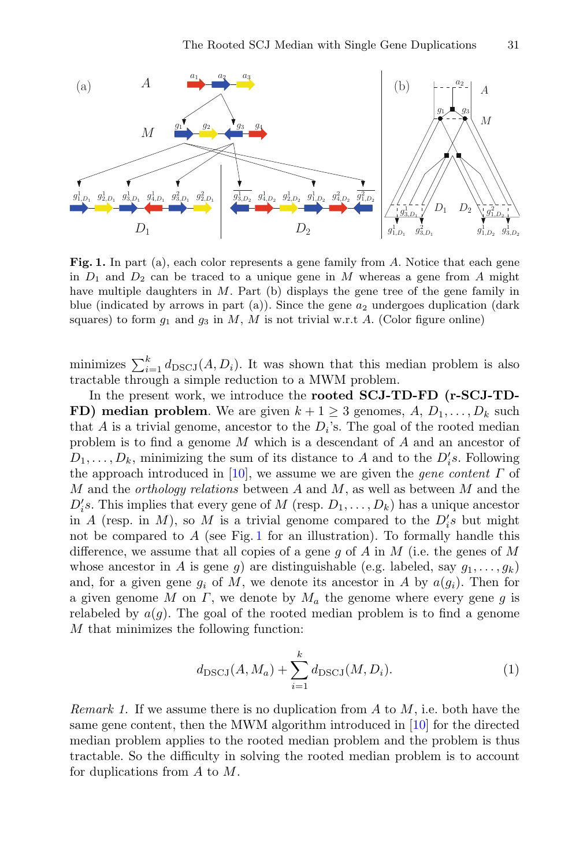

Fig. 1. In part (a), each color represents a gene family from A. Notice that each gene in  $D_1$  and  $D_2$  can be traced to a unique gene in M whereas a gene from A might have multiple daughters in M. Part (b) displays the gene tree of the gene family in blue (indicated by arrows in part (a)). Since the gene  $a_2$  undergoes duplication (dark squares) to form  $g_1$  and  $g_3$  in M, M is not trivial w.r.t A. (Color figure online)

minimizes  $\sum_{i=1}^{k} d_{\text{DSCJ}}(A, D_i)$ . It was shown that this median problem is also<br>tractable through a simple reduction to a MWM problem tractable through a simple reduction to a MWM problem.

In the present work, we introduce the **rooted SCJ-TD-FD (r-SCJ-TD-FD) median problem**. We are given  $k + 1 \geq 3$  genomes,  $A, D_1, \ldots, D_k$  such that A is a trivial genome, ancestor to the  $D_i$ 's. The goal of the rooted median problem is to find a genome M which is a descendant of A and an ancestor of  $D_1, \ldots, D_k$ , minimizing the sum of its distance to A and to the  $D_i's$ . Following<br>the approach introduced in [10], we assume we are given the *sene content*  $\Gamma$  of the approach introduced in [\[10](#page-20-11)], we assume we are given the *gene content* Γ of M and the *orthology relations* between A and M, as well as between M and the  $D_i$ 's. This implies that every gene of M (resp.  $D_1, \ldots, D_k$ ) has a unique ancestor in  $A$  (resp. in  $M$ ) so M is a trivial genome compared to the  $D_i$ 's but might in A (resp. in M), so M is a trivial genome compared to the  $D_i^{\prime}s$  but might<br>not be compared to A (see Fig. 1 for an illustration). To formally bandle this not be compared to  $A$  (see Fig. [1](#page-3-0) for an illustration). To formally handle this difference, we assume that all copies of a gene g of A in M (i.e. the genes of M whose ancestor in A is gene g) are distinguishable (e.g. labeled, say  $g_1, \ldots, g_k$ ) and, for a given gene  $g_i$  of M, we denote its ancestor in A by  $a(g_i)$ . Then for a given genome M on  $\Gamma$ , we denote by  $M_a$  the genome where every gene g is relabeled by  $a(g)$ . The goal of the rooted median problem is to find a genome M that minimizes the following function:

<span id="page-3-1"></span>
$$
d_{\text{DSCJ}}(A, M_a) + \sum_{i=1}^{k} d_{\text{DSCJ}}(M, D_i).
$$
 (1)

*Remark 1.* If we assume there is no duplication from A to M, i.e. both have the same gene content, then the MWM algorithm introduced in [\[10](#page-20-11)] for the directed median problem applies to the rooted median problem and the problem is thus tractable. So the difficulty in solving the rooted median problem is to account for duplications from A to M.

<span id="page-3-0"></span>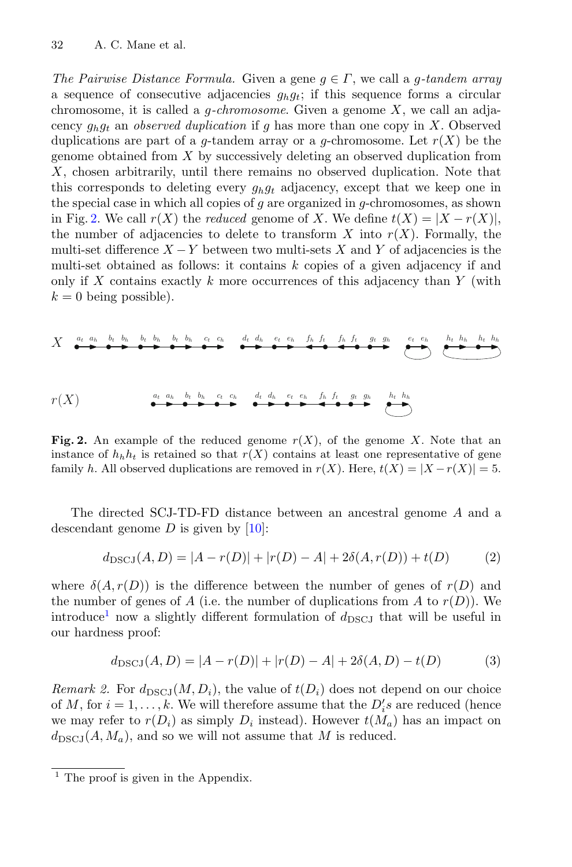*The Pairwise Distance Formula.* Given a gene  $g \in \Gamma$ , we call a g-tandem array a sequence of consecutive adjacencies  $g_h g_t$ ; if this sequence forms a circular chromosome, it is called a g*-chromosome*. Given a genome X, we call an adjacency  $q_h q_t$  an *observed duplication* if q has more than one copy in X. Observed duplications are part of a g-tandem array or a g-chromosome. Let  $r(X)$  be the genome obtained from  $X$  by successively deleting an observed duplication from X, chosen arbitrarily, until there remains no observed duplication. Note that this corresponds to deleting every  $g_h g_t$  adjacency, except that we keep one in the special case in which all copies of  $q$  are organized in  $q$ -chromosomes, as shown in Fig. [2.](#page-4-0) We call  $r(X)$  the *reduced* genome of X. We define  $t(X) = |X - r(X)|$ , the number of adjacencies to delete to transform X into  $r(X)$ . Formally, the multi-set difference  $X - Y$  between two multi-sets X and Y of adjacencies is the multi-set obtained as follows: it contains  $k$  copies of a given adjacency if and only if  $X$  contains exactly  $k$  more occurrences of this adjacency than  $Y$  (with  $k = 0$  being possible).



**Fig. 2.** An example of the reduced genome  $r(X)$ , of the genome X. Note that an instance of  $h_h h_t$  is retained so that  $r(X)$  contains at least one representative of gene family h. All observed duplications are removed in  $r(X)$ . Here,  $t(X) = |X - r(X)| = 5$ .

The directed SCJ-TD-FD distance between an ancestral genome A and a descendant genome  $D$  is given by [\[10](#page-20-11)]:

<span id="page-4-3"></span><span id="page-4-0"></span>
$$
d_{\text{DSCJ}}(A, D) = |A - r(D)| + |r(D) - A| + 2\delta(A, r(D)) + t(D)
$$
 (2)

where  $\delta(A, r(D))$  is the difference between the number of genes of  $r(D)$  and the number of genes of A (i.e. the number of duplications from A to  $r(D)$ ). We introduce<sup>[1](#page-4-1)</sup> now a slightly different formulation of  $d_{\text{DSCJ}}$  that will be useful in our hardness proof:

<span id="page-4-2"></span>
$$
d_{\text{DSCJ}}(A, D) = |A - r(D)| + |r(D) - A| + 2\delta(A, D) - t(D)
$$
 (3)

*Remark 2.* For  $d_{\text{DSCJ}}(M, D_i)$ , the value of  $t(D_i)$  does not depend on our choice of M, for  $i = 1, ..., k$ . We will therefore assume that the  $D_i$ 's are reduced (hence<br>we may refer to  $r(D_i)$  as simply D, instead). However  $t(M_i)$  has an impact on we may refer to  $r(D_i)$  as simply  $D_i$  instead). However  $t(M_a)$  has an impact on  $d_{\text{DSCJ}}(A, M_a)$ , and so we will not assume that M is reduced.

<span id="page-4-1"></span> $<sup>1</sup>$  The proof is given in the Appendix.</sup>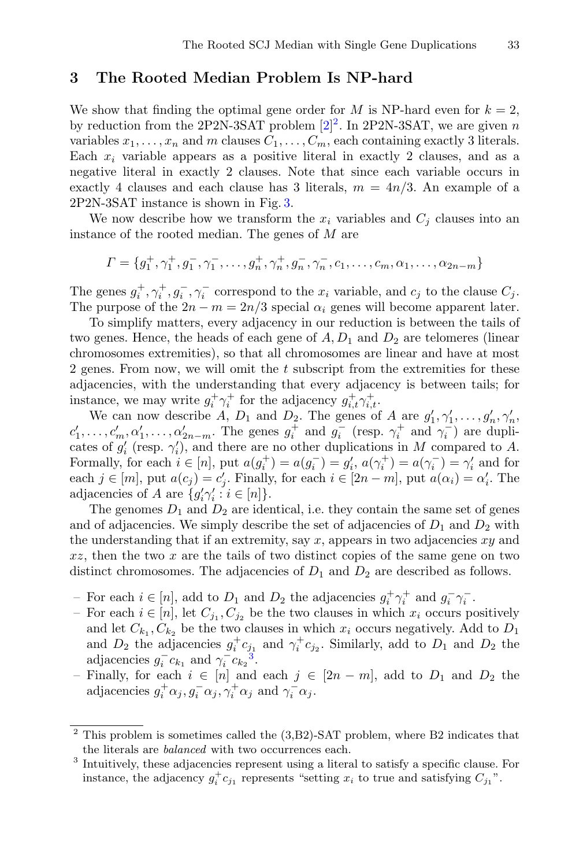## <span id="page-5-0"></span>**3 The Rooted Median Problem Is NP-hard**

We show that finding the optimal gene order for M is NP-hard even for  $k = 2$ , by reduction from the [2](#page-5-1)P2N-3SAT problem  $[2]^2$  $[2]^2$ . In 2P2N-3SAT, we are given n variables  $x_1, \ldots, x_n$  and m clauses  $C_1, \ldots, C_m$ , each containing exactly 3 literals. Each  $x_i$  variable appears as a positive literal in exactly 2 clauses, and as a negative literal in exactly 2 clauses. Note that since each variable occurs in exactly 4 clauses and each clause has 3 literals,  $m = 4n/3$ . An example of a 2P2N-3SAT instance is shown in Fig. [3.](#page-6-0)

We now describe how we transform the  $x_i$  variables and  $C_j$  clauses into an instance of the rooted median. The genes of M are

$$
\Gamma = \{g_1^+, \gamma_1^+, g_1^-, \gamma_1^-, \dots, g_n^+, \gamma_n^+, g_n^-, \gamma_n^-, c_1, \dots, c_m, \alpha_1, \dots, \alpha_{2n-m}\}\
$$

The genes  $g_i^+, \gamma_i^+, g_i^-, \gamma_i^-$  correspond to the  $x_i$  variable, and  $c_j$  to the clause  $C_j$ .<br>The purpose of the  $2n - m = 2n/3$  special  $\alpha_j$  genes will become apparent later The purpose of the  $2n - m = 2n/3$  special  $\alpha_i$  genes will become apparent later.

To simplify matters, every adjacency in our reduction is between the tails of two genes. Hence, the heads of each gene of  $A, D_1$  and  $D_2$  are telomeres (linear chromosomes extremities), so that all chromosomes are linear and have at most 2 genes. From now, we will omit the t subscript from the extremities for these adjacencies, with the understanding that every adjacency is between tails; for instance, we may write  $g_i^+ \gamma_i^+$  for the adjacency  $g_{i,t}^+ \gamma_{i,t}^+$ .<br>We can now describe  $\overline{A}$ ,  $D_t$  and  $D_2$ . The genes of

We can now describe A,  $D_1$  and  $D_2$ . The genes of A are  $g'_1, \gamma'_1, \ldots, g'_n, \gamma'_n$ ,<br> $g'_n, g'_n, g'_n$ . The genes  $g^+$  and  $g^-$  (resp.  $\gamma^+$  and  $\gamma^-$ ) are dupli $c'_1, \ldots, c'_m, \alpha'_1, \ldots, \alpha'_{2n-m}$ . The genes  $g_i^+$  and  $g_i^-$  (resp.  $\gamma_i^+$  and  $\gamma_i^-$ ) are dupli-<br>cates of  $a'$  (resp.  $\gamma'$ ) and there are no other duplications in M compared to 4. cates of  $g'_i$  (resp.  $\gamma'_i$ ), and there are no other duplications in M compared to A.<br>Formally for each  $i \in [n]$  put  $g(a^+)-g(a^-)-g'$ ,  $g(x^+)-g(x^-)-g'$  and for Formally, for each  $i \in [n]$ , put  $a(g_i^+) = a(g_i^-) = g'_i$ ,  $a(\gamma_i^+) = a(\gamma_i^-) = \gamma'_i$  and for each  $i \in [m]$ , put  $a(c_i) = c'$ . Finally, for each  $i \in [2n-m]$ , put  $a(c_i) = c'$ . The each  $j \in [m]$ , put  $a(c_j) = c'_j$ . Finally, for each  $i \in [2n-m]$ , put  $a(\alpha_i) = \alpha'_i$ . The adjacencies of A are  $\{g'_i\gamma'_i : i \in [n]\}.$ <br>The genomes D, and De are idea

The genomes  $D_1$  and  $D_2$  are identical, i.e. they contain the same set of genes and of adjacencies. We simply describe the set of adjacencies of  $D_1$  and  $D_2$  with the understanding that if an extremity, say  $x$ , appears in two adjacencies  $xy$  and  $xz$ , then the two  $x$  are the tails of two distinct copies of the same gene on two distinct chromosomes. The adjacencies of  $D_1$  and  $D_2$  are described as follows.

- For each  $i \in [n]$ , add to  $D_1$  and  $D_2$  the adjacencies  $g_i^+ \gamma_i^+$  and  $g_i^- \gamma_i^-$ .<br>
For each  $i \in [n]$  let  $C_i$ .  $C_j$  be the two clauses in which x, occurs no
- For each  $i \in [n]$ , let  $C_{j_1}, C_{j_2}$  be the two clauses in which  $x_i$  occurs positively and let  $C_{k_1}, C_{k_2}$  be the two clauses in which  $x_i$  occurs negatively. Add to  $D_1$ and  $D_2$  the adjacencies  $g_i^+ c_{j_1}$  and  $\gamma_i^+ c_{j_2}$ . Similarly, add to  $D_1$  and  $D_2$  the adjacencies  $g_i^- c_{k_1}$  and  $\gamma_i^- c_{k_2}^3$  $\gamma_i^- c_{k_2}^3$ .<br>Finally for each  $i \in [n]$  and
- Finally, for each  $i \in [n]$  and each  $j \in [2n-m]$ , add to  $D_1$  and  $D_2$  the adjacencies  $g_i^{\dagger} \alpha_j, g_i^{\dagger} \alpha_j, \gamma_i^{\dagger} \alpha_j$  and  $\gamma_i^{\dagger} \alpha_j$ .

 $\frac{2}{1}$  This problem is sometimes called the (3,B2)-SAT problem, where B2 indicates that the literals are *balanced* with two occurrences each.

<span id="page-5-2"></span><span id="page-5-1"></span><sup>3</sup> Intuitively, these adjacencies represent using a literal to satisfy a specific clause. For instance, the adjacency  $g_i^{\dagger} c_{j_1}$  represents "setting  $x_i$  to true and satisfying  $C_{j_1}$ ".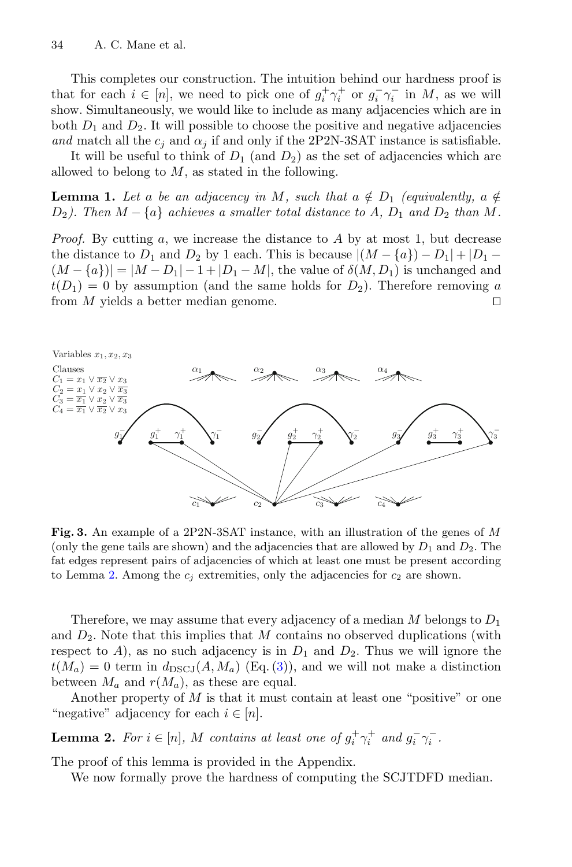This completes our construction. The intuition behind our hardness proof is that for each  $i \in [n]$ , we need to pick one of  $g_i^+ \gamma_i^+$  or  $g_i^- \gamma_i^-$  in M, as we will<br>show Simultaneously we would like to include as many adjacencies which are in show. Simultaneously, we would like to include as many adjacencies which are in both  $D_1$  and  $D_2$ . It will possible to choose the positive and negative adjacencies *and* match all the  $c_j$  and  $\alpha_j$  if and only if the 2P2N-3SAT instance is satisfiable.

<span id="page-6-2"></span>It will be useful to think of  $D_1$  (and  $D_2$ ) as the set of adjacencies which are allowed to belong to  $M$ , as stated in the following.

**Lemma 1.** Let a be an adjacency in M, such that  $a \notin D_1$  *(equivalently,*  $a \notin D_2$ )  $D_2$ ). Then  $M - \{a\}$  achieves a smaller total distance to A,  $D_1$  and  $D_2$  than M.

*Proof.* By cutting a, we increase the distance to A by at most 1, but decrease the distance to  $D_1$  and  $D_2$  by 1 each. This is because  $|(M - \{a\}) - D_1| + |D_1 (M - \{a\}) = |M - D_1| - 1 + |D_1 - M|$ , the value of  $\delta(M, D_1)$  is unchanged and  $t(D_1) = 0$  by assumption (and the same holds for  $D_2$ ). Therefore removing a from  $M$  yields a better median genome.



<span id="page-6-0"></span>**Fig. 3.** An example of a 2P2N-3SAT instance, with an illustration of the genes of M (only the gene tails are shown) and the adjacencies that are allowed by  $D_1$  and  $D_2$ . The fat edges represent pairs of adjacencies of which at least one must be present according to Lemma [2.](#page-6-1) Among the  $c_j$  extremities, only the adjacencies for  $c_2$  are shown.

Therefore, we may assume that every adjacency of a median  $M$  belongs to  $D_1$ and  $D_2$ . Note that this implies that M contains no observed duplications (with respect to A), as no such adjacency is in  $D_1$  and  $D_2$ . Thus we will ignore the  $t(M_a) = 0$  term in  $d_{\text{DSCJ}}(A, M_a)$  (Eq. [\(3\)](#page-4-2)), and we will not make a distinction between  $M_a$  and  $r(M_a)$ , as these are equal.

Another property of  $M$  is that it must contain at least one "positive" or one "negative" adjacency for each  $i \in [n]$ .

**Lemma 2.** *For*  $i \in [n]$ *, M contains at least one of*  $g_i^+ \gamma_i^+$  *and*  $g_i^- \gamma_i^-$ *.* 

The proof of this lemma is provided in the Appendix.

<span id="page-6-1"></span>We now formally prove the hardness of computing the SCJTDFD median.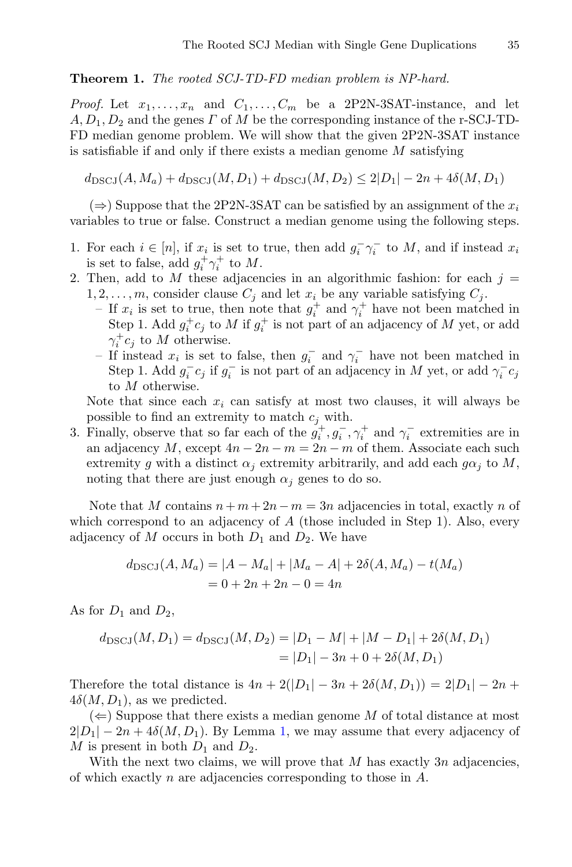#### **Theorem 1.** *The rooted SCJ-TD-FD median problem is NP-hard.*

*Proof.* Let  $x_1, \ldots, x_n$  and  $C_1, \ldots, C_m$  be a 2P2N-3SAT-instance, and let  $A, D_1, D_2$  and the genes  $\Gamma$  of M be the corresponding instance of the r-SCJ-TD-FD median genome problem. We will show that the given 2P2N-3SAT instance is satisfiable if and only if there exists a median genome  $M$  satisfying

 $d_{\text{DSCI}}(A, M_a) + d_{\text{DSCI}}(M, D_1) + d_{\text{DSCI}}(M, D_2) \leq 2|D_1| - 2n + 4\delta(M, D_1)$ 

 $(\Rightarrow)$  Suppose that the 2P2N-3SAT can be satisfied by an assignment of the  $x_i$ variables to true or false. Construct a median genome using the following steps.

- 1. For each  $i \in [n]$ , if  $x_i$  is set to true, then add  $g_i^-\gamma_i^-$  to  $M$ , and if instead  $x_i$  is set to false, add  $g_i^+\gamma_i^+$  to  $M$ is set to false, add  $g_i^+ \gamma_i^+$  to M.<br>Then, add to M these adjacer
- 2. Then, add to M these adjacencies in an algorithmic fashion: for each  $j =$  $1, 2, \ldots, m$ , consider clause  $C_j$  and let  $x_i$  be any variable satisfying  $C_j$ .
	- If  $x_i$  is set to true, then note that  $g_i^+$  and  $\gamma_i^+$  have not been matched in<br>Step 1, Add  $g^+$ c: to M if  $g^+$  is not part of an adjacency of M yet, or add Step 1. Add  $g_i^{\dagger} c_j$  to M if  $g_i^{\dagger}$  is not part of an adjacency of M yet, or add  $\alpha^{\dagger} c_i$  to M otherwise  $\gamma_i^+ c_j$  to M otherwise.<br>If instead x is set to
	- If instead  $x_i$  is set to false, then  $g_i^-$  and  $\gamma_i^-$  have not been matched in Step 1. Add  $g^-$ c; if  $g^-$  is not part of an adjacency in M yet, or add  $\gamma^-$ c; Step 1. Add  $g_i^- c_j$  if  $g_i^-$  is not part of an adjacency in M yet, or add  $\gamma_i^- c_j$ <br>to M otherwise to M otherwise.

Note that since each  $x_i$  can satisfy at most two clauses, it will always be possible to find an extremity to match  $c_j$  with.

3. Finally, observe that so far each of the  $g_t^+, g_t^-, \gamma_t^+$  and  $\gamma_t^-$  extremities are in<br>an adjacency M except  $4n - 2n - m - 2n - m$  of them. Associate each such an adjacency M, except  $4n - 2n - m = 2n - m$  of them. Associate each such extremity g with a distinct  $\alpha_i$  extremity arbitrarily, and add each  $g\alpha_i$  to M, noting that there are just enough  $\alpha_i$  genes to do so.

Note that M contains  $n + m + 2n - m = 3n$  adjacencies in total, exactly n of which correspond to an adjacency of  $A$  (those included in Step 1). Also, every adjacency of M occurs in both  $D_1$  and  $D_2$ . We have

$$
d_{\text{DSCJ}}(A, M_a) = |A - M_a| + |M_a - A| + 2\delta(A, M_a) - t(M_a)
$$
  
= 0 + 2n + 2n - 0 = 4n

As for  $D_1$  and  $D_2$ ,

$$
d_{\text{DSCJ}}(M, D_1) = d_{\text{DSCJ}}(M, D_2) = |D_1 - M| + |M - D_1| + 2\delta(M, D_1)
$$
  
= |D\_1| - 3n + 0 + 2\delta(M, D\_1)

Therefore the total distance is  $4n + 2(|D_1| - 3n + 2\delta(M, D_1)) = 2|D_1| - 2n +$  $4\delta(M, D_1)$ , as we predicted.

 $(\Leftarrow)$  Suppose that there exists a median genome M of total distance at most  $2|D_1| - 2n + 4\delta(M, D_1)$ . By Lemma [1,](#page-6-2) we may assume that every adjacency of M is present in both  $D_1$  and  $D_2$ .

<span id="page-7-0"></span>With the next two claims, we will prove that  $M$  has exactly  $3n$  adjacencies, of which exactly n are adjacencies corresponding to those in A.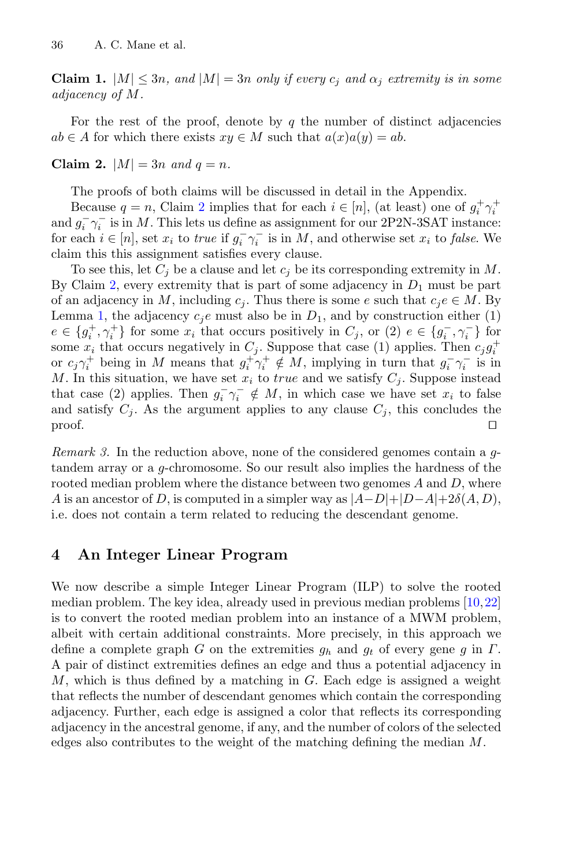**Claim 1.**  $|M| \leq 3n$ , and  $|M| = 3n$  only if every  $c_j$  and  $\alpha_j$  extremity is in some *adjacency of* M*.*

<span id="page-8-1"></span>For the rest of the proof, denote by  $q$  the number of distinct adjacencies  $ab \in A$  for which there exists  $xy \in M$  such that  $a(x)a(y) = ab$ .

**Claim 2.**  $|M| = 3n$  *and*  $q = n$ *.* 

The proofs of both claims will be discussed in detail in the Appendix.

Because  $q = n$ , Claim [2](#page-8-1) implies that for each  $i \in [n]$ , (at least) one of  $g_i^+ \gamma_i^+$ <br>La<sup> $-\infty^-$ </sup> is in M. This lets us define as assignment for our 2P2N-3SAT instances and  $g_i^-\gamma_i^-$  is in M. This lets us define as assignment for our 2P2N-3SAT instance:<br>for each  $i \in [n]$  set x; to true if  $g^-\gamma_i^-$  is in M, and otherwise set x; to false. We for each  $i \in [n]$ , set  $x_i$  to *true* if  $g_i^-\gamma_i^-$  is in M, and otherwise set  $x_i$  to *false*. We claim this this assignment satisfies every clause claim this this assignment satisfies every clause.

To see this, let  $C_i$  be a clause and let  $c_i$  be its corresponding extremity in M. By Claim [2,](#page-8-1) every extremity that is part of some adjacency in  $D_1$  must be part of an adjacency in M, including  $c_i$ . Thus there is some e such that  $c_i e \in M$ . By Lemma [1,](#page-6-2) the adjacency  $c_i e$  must also be in  $D_1$ , and by construction either (1)  $e \in \{g_i^+, \gamma_i^+\}$  for some  $x_i$  that occurs positively in  $C_j$ , or  $(2)$   $e \in \{g_i^-, \gamma_i^-\}$  for some  $x_i$  that occurs positively in  $C_j$ . Suppose that case (1) applies. Then  $c_i a^+$ some  $x_i$  that occurs negatively in  $C_i$ . Suppose that case (1) applies. Then  $c_i g_i^+$ or  $c_j \gamma_i^+$  being in M means that  $g_i^+ \gamma_i^+ \notin M$ , implying in turn that  $g_i^- \gamma_i^-$  is in  $M$ . In this situation, we have set x. to true and we satisfy  $C$ . Suppose instead M. In this situation, we have set  $x_i$  to true and we satisfy  $C_i$ . Suppose instead that case (2) applies. Then  $g_i^-\gamma_i^- \notin M$ , in which case we have set  $x_i$  to false<br>and satisfy  $C_i$ . As the argument applies to any clause  $C_i$ , this concludes the and satisfy  $C_j$ . As the argument applies to any clause  $C_j$ , this concludes the proof.  $\Box$ 

*Remark 3.* In the reduction above, none of the considered genomes contain a gtandem array or a g-chromosome. So our result also implies the hardness of the rooted median problem where the distance between two genomes  $A$  and  $D$ , where A is an ancestor of D, is computed in a simpler way as  $|A-D|+|D-A|+2\delta(A, D)$ , i.e. does not contain a term related to reducing the descendant genome.

# <span id="page-8-0"></span>**4 An Integer Linear Program**

We now describe a simple Integer Linear Program (ILP) to solve the rooted median problem. The key idea, already used in previous median problems [\[10](#page-20-11)[,22](#page-20-5)] is to convert the rooted median problem into an instance of a MWM problem, albeit with certain additional constraints. More precisely, in this approach we define a complete graph G on the extremities  $g_h$  and  $g_t$  of every gene g in  $\Gamma$ . A pair of distinct extremities defines an edge and thus a potential adjacency in M, which is thus defined by a matching in  $G$ . Each edge is assigned a weight that reflects the number of descendant genomes which contain the corresponding adjacency. Further, each edge is assigned a color that reflects its corresponding adjacency in the ancestral genome, if any, and the number of colors of the selected edges also contributes to the weight of the matching defining the median M.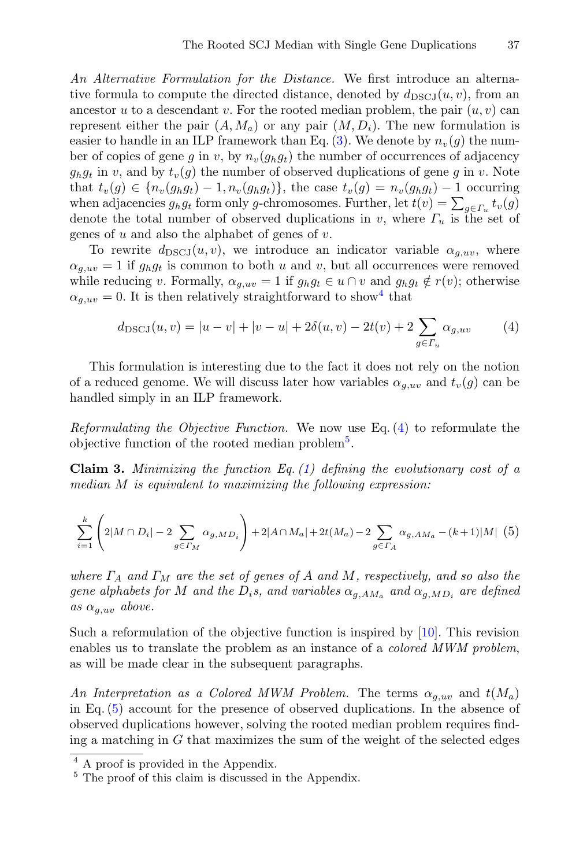*An Alternative Formulation for the Distance.* We first introduce an alternative formula to compute the directed distance, denoted by  $d_{\text{DSCJ}}(u, v)$ , from an ancestor u to a descendant v. For the rooted median problem, the pair  $(u, v)$  can represent either the pair  $(A, M_a)$  or any pair  $(M, D_i)$ . The new formulation is easier to handle in an ILP framework than Eq. [\(3\)](#page-4-2). We denote by  $n_v(g)$  the number of copies of gene g in v, by  $n_v(g_h g_t)$  the number of occurrences of adjacency  $g_h g_t$  in v, and by  $t_v(g)$  the number of observed duplications of gene g in v. Note that  $t_v(g) \in \{n_v(g_h g_t) - 1, n_v(g_h g_t)\}\$ , the case  $t_v(g) = n_v(g_h g_t) - 1$  occurring when adjacencies  $g_h g_t$  form only g-chromosomes. Further, let  $t(v) = \sum_{g \in \Gamma_u} t_v(g)$ <br>denote the total number of observed duplications in *n* where  $\Gamma$  is the set of denote the total number of observed duplications in v, where  $\Gamma_u$  is the set of genes of  $u$  and also the alphabet of genes of  $v$ .

To rewrite  $d_{\text{DSCJ}}(u, v)$ , we introduce an indicator variable  $\alpha_{g,uv}$ , where  $\alpha_{q,uv} = 1$  if  $g_h g_t$  is common to both u and v, but all occurrences were removed while reducing v. Formally,  $\alpha_{a,uv} = 1$  if  $g_h g_t \in u \cap v$  and  $g_h g_t \notin r(v)$ ; otherwise  $\alpha_{q,uv} = 0$ . It is then relatively straightforward to show<sup>[4](#page-9-0)</sup> that

<span id="page-9-1"></span>
$$
d_{\text{DSCJ}}(u, v) = |u - v| + |v - u| + 2\delta(u, v) - 2t(v) + 2\sum_{g \in \Gamma_u} \alpha_{g, uv} \tag{4}
$$

This formulation is interesting due to the fact it does not rely on the notion of a reduced genome. We will discuss later how variables  $\alpha_{g,uv}$  and  $t_v(q)$  can be handled simply in an ILP framework.

<span id="page-9-4"></span>*Reformulating the Objective Function.* We now use Eq. [\(4\)](#page-9-1) to reformulate the objective function of the rooted median problem<sup>[5](#page-9-2)</sup>.

**Claim 3.** *Minimizing the function Eq. [\(1\)](#page-3-1) defining the evolutionary cost of a median* M *is equivalent to maximizing the following expression:*

<span id="page-9-3"></span>
$$
\sum_{i=1}^{k} \left( 2|M \cap D_i| - 2 \sum_{g \in \Gamma_M} \alpha_{g, MD_i} \right) + 2|A \cap M_a| + 2t(M_a) - 2 \sum_{g \in \Gamma_A} \alpha_{g, AM_a} - (k+1)|M| \tag{5}
$$

*where*  $\Gamma_A$  *and*  $\Gamma_M$  *are the set of genes of* A *and* M, respectively, and so also the *gene alphabets for* M *and the*  $D_i$ *s*, and variables  $\alpha_{q,AM_a}$  and  $\alpha_{q,MD_i}$  are defined  $as \alpha_{a,uv}$  *above.* 

Such a reformulation of the objective function is inspired by [\[10\]](#page-20-11). This revision enables us to translate the problem as an instance of a *colored MWM problem*, as will be made clear in the subsequent paragraphs.

An Interpretation as a Colored MWM Problem. The terms  $\alpha_{g,uv}$  and  $t(M_a)$ in Eq. [\(5\)](#page-9-3) account for the presence of observed duplications. In the absence of observed duplications however, solving the rooted median problem requires finding a matching in  $G$  that maximizes the sum of the weight of the selected edges

 $\overline{4 A}$  proof is provided in the Appendix.

<span id="page-9-2"></span><span id="page-9-0"></span> $5$  The proof of this claim is discussed in the Appendix.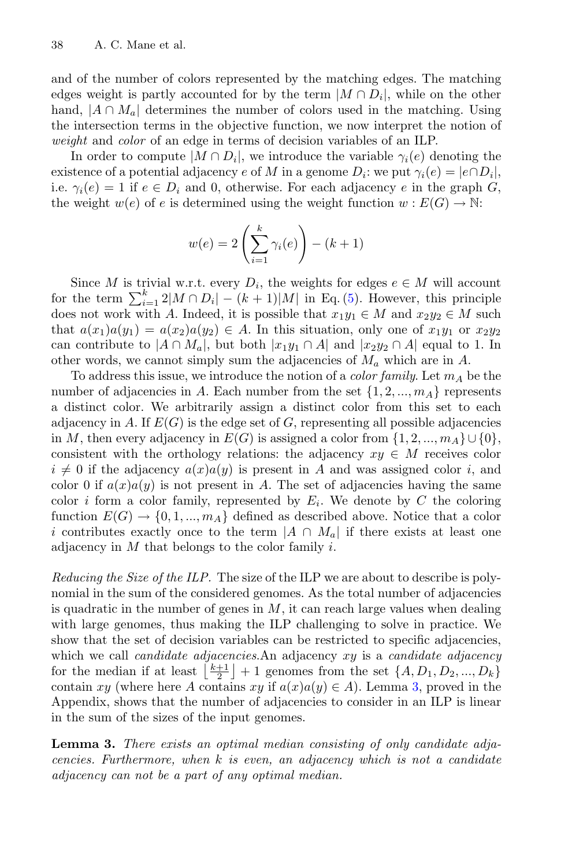and of the number of colors represented by the matching edges. The matching edges weight is partly accounted for by the term  $|M \cap D_i|$ , while on the other hand,  $|A \cap M_a|$  determines the number of colors used in the matching. Using the intersection terms in the objective function, we now interpret the notion of *weight* and *color* of an edge in terms of decision variables of an ILP.

In order to compute  $|M \cap D_i|$ , we introduce the variable  $\gamma_i(e)$  denoting the existence of a potential adjacency e of M in a genome  $D_i$ : we put  $\gamma_i(e) = |e \cap D_i|$ , i.e.  $\gamma_i(e) = 1$  if  $e \in D_i$  and 0, otherwise. For each adjacency e in the graph G, the weight  $w(e)$  of e is determined using the weight function  $w: E(G) \to \mathbb{N}$ :

$$
w(e) = 2\left(\sum_{i=1}^{k} \gamma_i(e)\right) - (k+1)
$$

Since M is trivial w.r.t. every  $D_i$ , the weights for edges  $e \in M$  will account for the term  $\sum_{i=1}^{k} 2|M \cap D_i| - (k+1)|M|$  in Eq. [\(5\)](#page-9-3). However, this principle<br>does not work with A Indeed, it is possible that  $x, y_i \in M$  and  $x_2y_2 \in M$  such does not work with A. Indeed, it is possible that  $x_1y_1 \in M$  and  $x_2y_2 \in M$  such that  $a(x_1)a(y_1) = a(x_2)a(y_2) \in A$ . In this situation, only one of  $x_1y_1$  or  $x_2y_2$ can contribute to  $|A \cap M_a|$ , but both  $|x_1y_1 \cap A|$  and  $|x_2y_2 \cap A|$  equal to 1. In other words, we cannot simply sum the adjacencies of  $M_a$  which are in A.

To address this issue, we introduce the notion of a *color family*. Let  $m_A$  be the number of adjacencies in A. Each number from the set  $\{1, 2, ..., m_A\}$  represents a distinct color. We arbitrarily assign a distinct color from this set to each adjacency in A. If  $E(G)$  is the edge set of G, representing all possible adjacencies in M, then every adjacency in  $E(G)$  is assigned a color from  $\{1, 2, ..., m<sub>A</sub>\}\cup\{0\}$ , consistent with the orthology relations: the adjacency  $xy \in M$  receives color  $i \neq 0$  if the adjacency  $a(x)a(y)$  is present in A and was assigned color i, and color 0 if  $a(x)a(y)$  is not present in A. The set of adjacencies having the same color i form a color family, represented by  $E_i$ . We denote by C the coloring function  $E(G) \to \{0, 1, ..., m_A\}$  defined as described above. Notice that a color i contributes exactly once to the term  $|A \cap M_a|$  if there exists at least one adjacency in  $M$  that belongs to the color family  $i$ .

*Reducing the Size of the ILP.* The size of the ILP we are about to describe is polynomial in the sum of the considered genomes. As the total number of adjacencies is quadratic in the number of genes in  $M$ , it can reach large values when dealing with large genomes, thus making the ILP challenging to solve in practice. We show that the set of decision variables can be restricted to specific adjacencies, which we call *candidate adjacencies*.An adjacency xy is a *candidate adjacency* for the median if at least  $\left[\frac{k+1}{2}\right]+1$  genomes from the set  $\{A, D_1, D_2, ..., D_k\}$ contain xy (where here A contains xy if  $a(x)a(y) \in A$ ). Lemma [3,](#page-10-0) proved in the Appendix, shows that the number of adjacencies to consider in an ILP is linear in the sum of the sizes of the input genomes.

<span id="page-10-1"></span><span id="page-10-0"></span>**Lemma 3.** *There exists an optimal median consisting of only candidate adjacencies. Furthermore, when* k *is even, an adjacency which is not a candidate adjacency can not be a part of any optimal median.*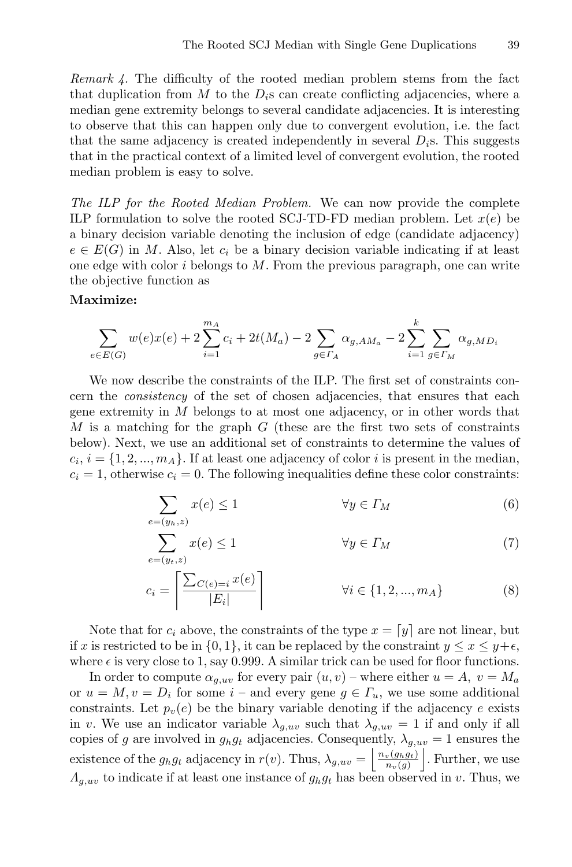*Remark 4.* The difficulty of the rooted median problem stems from the fact that duplication from M to the  $D_i$ s can create conflicting adjacencies, where a median gene extremity belongs to several candidate adjacencies. It is interesting to observe that this can happen only due to convergent evolution, i.e. the fact that the same adjacency is created independently in several  $D_i$ s. This suggests that in the practical context of a limited level of convergent evolution, the rooted median problem is easy to solve.

*The ILP for the Rooted Median Problem.* We can now provide the complete ILP formulation to solve the rooted SCJ-TD-FD median problem. Let  $x(e)$  be a binary decision variable denoting the inclusion of edge (candidate adjacency)  $e \in E(G)$  in M. Also, let  $c_i$  be a binary decision variable indicating if at least one edge with color  $i$  belongs to  $M$ . From the previous paragraph, one can write the objective function as

#### **Maximize:**

$$
\sum_{e \in E(G)} w(e)x(e) + 2\sum_{i=1}^{m_A} c_i + 2t(M_a) - 2\sum_{g \in \Gamma_A} \alpha_{g,AM_a} - 2\sum_{i=1}^{k} \sum_{g \in \Gamma_M} \alpha_{g,MD_i}
$$

We now describe the constraints of the ILP. The first set of constraints concern the *consistency* of the set of chosen adjacencies, that ensures that each gene extremity in  $M$  belongs to at most one adjacency, or in other words that  $M$  is a matching for the graph  $G$  (these are the first two sets of constraints below). Next, we use an additional set of constraints to determine the values of  $c_i$ ,  $i = \{1, 2, ..., m_A\}$ . If at least one adjacency of color i is present in the median,  $c_i = 1$ , otherwise  $c_i = 0$ . The following inequalities define these color constraints:

$$
\sum_{i=(y_h,z)} x(e) \le 1 \qquad \forall y \in \Gamma_M \tag{6}
$$

$$
\sum_{e=(y_t,z)}^{e=(y_h,z)} x(e) \le 1 \qquad \forall y \in \Gamma_M \tag{7}
$$

$$
c_i = \left\lceil \frac{\sum_{C(e)=i} x(e)}{|E_i|} \right\rceil \qquad \qquad \forall i \in \{1, 2, ..., m_A\}
$$
 (8)

Note that for  $c_i$  above, the constraints of the type  $x = y$  are not linear, but if x is restricted to be in  $\{0, 1\}$ , it can be replaced by the constraint  $y \leq x \leq y + \epsilon$ , where  $\epsilon$  is very close to 1, say 0.999. A similar trick can be used for floor functions.

In order to compute  $\alpha_{a,uv}$  for every pair  $(u, v)$  – where either  $u = A$ ,  $v = M_a$ or  $u = M, v = D_i$  for some  $i$  – and every gene  $g \in \Gamma_u$ , we use some additional constraints. Let  $p_v(e)$  be the binary variable denoting if the adjacency e exists in v. We use an indicator variable  $\lambda_{g,uv}$  such that  $\lambda_{g,uv} = 1$  if and only if all copies of g are involved in  $g_h g_t$  adjacencies. Consequently,  $\lambda_{g,uv} = 1$  ensures the existence of the  $g_h g_t$  adjacency in  $r(v)$ . Thus,  $\lambda_{g,uv} = \left\lfloor \frac{n_v(g_h g_t)}{n_v(g)} \right\rfloor$  $n_v(g)$ <br> $-1$  . Further, we use  $\Lambda_{g,uv}$  to indicate if at least one instance of  $g_h g_t$  has been observed in v. Thus, we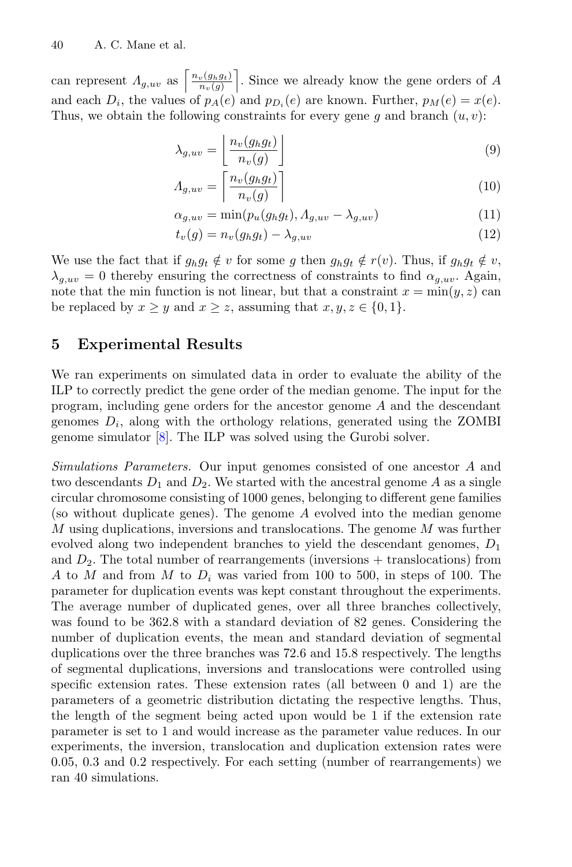can represent  $A_{g,uv}$  as  $\left| \frac{n_v(g_h g_t)}{n_v(g)} \right|$  . Since we already know the gene orders of A and each  $D_i$ , the values of  $p_A(e)$  and  $p_{D_i}(e)$  are known. Further,  $p_M(e) = x(e)$ . Thus, we obtain the following constraints for every gene g and branch  $(u, v)$ :

$$
\lambda_{g,uv} = \left\lfloor \frac{n_v(g_h g_t)}{n_v(g)} \right\rfloor \tag{9}
$$

$$
A_{g,uv} = \left\lceil \frac{n_v(g_h g_t)}{n_v(g)} \right\rceil \tag{10}
$$

$$
\alpha_{g,uv} = \min(p_u(g_h g_t), \Lambda_{g,uv} - \lambda_{g,uv})
$$
\n(11)

$$
t_v(g) = n_v(g_h g_t) - \lambda_{g,uv} \tag{12}
$$

We use the fact that if  $g_h g_t \notin v$  for some g then  $g_h g_t \notin r(v)$ . Thus, if  $g_h g_t \notin v$ ,  $\lambda_{g,uv} = 0$  thereby ensuring the correctness of constraints to find  $\alpha_{g,uv}$ . Again, note that the min function is not linear, but that a constraint  $x = min(y, z)$  can be replaced by  $x \geq y$  and  $x \geq z$ , assuming that  $x, y, z \in \{0, 1\}.$ 

# <span id="page-12-0"></span>**5 Experimental Results**

We ran experiments on simulated data in order to evaluate the ability of the ILP to correctly predict the gene order of the median genome. The input for the program, including gene orders for the ancestor genome A and the descendant genomes  $D_i$ , along with the orthology relations, generated using the ZOMBI genome simulator [\[8](#page-19-8)]. The ILP was solved using the Gurobi solver.

*Simulations Parameters.* Our input genomes consisted of one ancestor A and two descendants  $D_1$  and  $D_2$ . We started with the ancestral genome A as a single circular chromosome consisting of 1000 genes, belonging to different gene families (so without duplicate genes). The genome A evolved into the median genome  $M$  using duplications, inversions and translocations. The genome  $M$  was further evolved along two independent branches to yield the descendant genomes,  $D_1$ and  $D_2$ . The total number of rearrangements (inversions + translocations) from A to M and from M to  $D_i$  was varied from 100 to 500, in steps of 100. The parameter for duplication events was kept constant throughout the experiments. The average number of duplicated genes, over all three branches collectively, was found to be 362.8 with a standard deviation of 82 genes. Considering the number of duplication events, the mean and standard deviation of segmental duplications over the three branches was 72.6 and 15.8 respectively. The lengths of segmental duplications, inversions and translocations were controlled using specific extension rates. These extension rates (all between 0 and 1) are the parameters of a geometric distribution dictating the respective lengths. Thus, the length of the segment being acted upon would be 1 if the extension rate parameter is set to 1 and would increase as the parameter value reduces. In our experiments, the inversion, translocation and duplication extension rates were 0.05, 0.3 and 0.2 respectively. For each setting (number of rearrangements) we ran 40 simulations.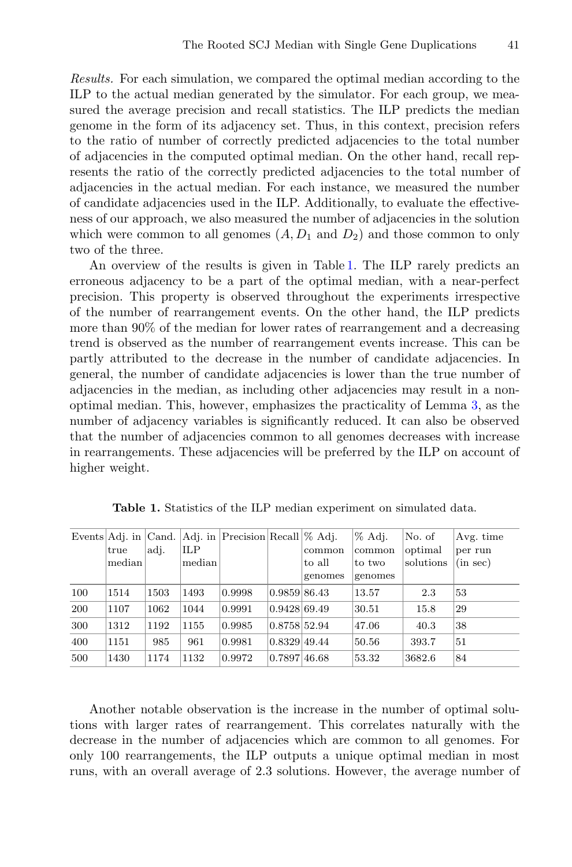*Results.* For each simulation, we compared the optimal median according to the ILP to the actual median generated by the simulator. For each group, we measured the average precision and recall statistics. The ILP predicts the median genome in the form of its adjacency set. Thus, in this context, precision refers to the ratio of number of correctly predicted adjacencies to the total number of adjacencies in the computed optimal median. On the other hand, recall represents the ratio of the correctly predicted adjacencies to the total number of adjacencies in the actual median. For each instance, we measured the number of candidate adjacencies used in the ILP. Additionally, to evaluate the effectiveness of our approach, we also measured the number of adjacencies in the solution which were common to all genomes  $(A, D_1 \text{ and } D_2)$  and those common to only two of the three.

An overview of the results is given in Table [1.](#page-13-0) The ILP rarely predicts an erroneous adjacency to be a part of the optimal median, with a near-perfect precision. This property is observed throughout the experiments irrespective of the number of rearrangement events. On the other hand, the ILP predicts more than 90% of the median for lower rates of rearrangement and a decreasing trend is observed as the number of rearrangement events increase. This can be partly attributed to the decrease in the number of candidate adjacencies. In general, the number of candidate adjacencies is lower than the true number of adjacencies in the median, as including other adjacencies may result in a nonoptimal median. This, however, emphasizes the practicality of Lemma [3,](#page-10-0) as the number of adjacency variables is significantly reduced. It can also be observed that the number of adjacencies common to all genomes decreases with increase in rearrangements. These adjacencies will be preferred by the ILP on account of higher weight.

<span id="page-13-0"></span>

|            | Events $Adi$ . in $Cand$ . |      |        | Adj. in $ Precision Recall \% Adj.$ |              |         | % Adj.  | No. of    | Avg. time |
|------------|----------------------------|------|--------|-------------------------------------|--------------|---------|---------|-----------|-----------|
|            | true                       | adj. | ILP    |                                     |              | common  | common  | optimal   | per run   |
|            | median                     |      | median |                                     |              | to all  | to two  | solutions | (in sec)  |
|            |                            |      |        |                                     |              | genomes | genomes |           |           |
| 100        | 1514                       | 1503 | 1493   | 0.9998                              | 0.9859 86.43 |         | 13.57   | 2.3       | 53        |
| <b>200</b> | 1107                       | 1062 | 1044   | 0.9991                              | 0.9428 69.49 |         | 30.51   | 15.8      | 29        |
| 300        | 1312                       | 1192 | 1155   | 0.9985                              | 0.8758 52.94 |         | 47.06   | 40.3      | 38        |
| 400        | 1151                       | 985  | 961    | 0.9981                              | 0.8329149.44 |         | 50.56   | 393.7     | 51        |
| 500        | 1430                       | 1174 | 1132   | 0.9972                              | 0.7897146.68 |         | 53.32   | 3682.6    | 84        |

**Table 1.** Statistics of the ILP median experiment on simulated data.

Another notable observation is the increase in the number of optimal solutions with larger rates of rearrangement. This correlates naturally with the decrease in the number of adjacencies which are common to all genomes. For only 100 rearrangements, the ILP outputs a unique optimal median in most runs, with an overall average of 2.3 solutions. However, the average number of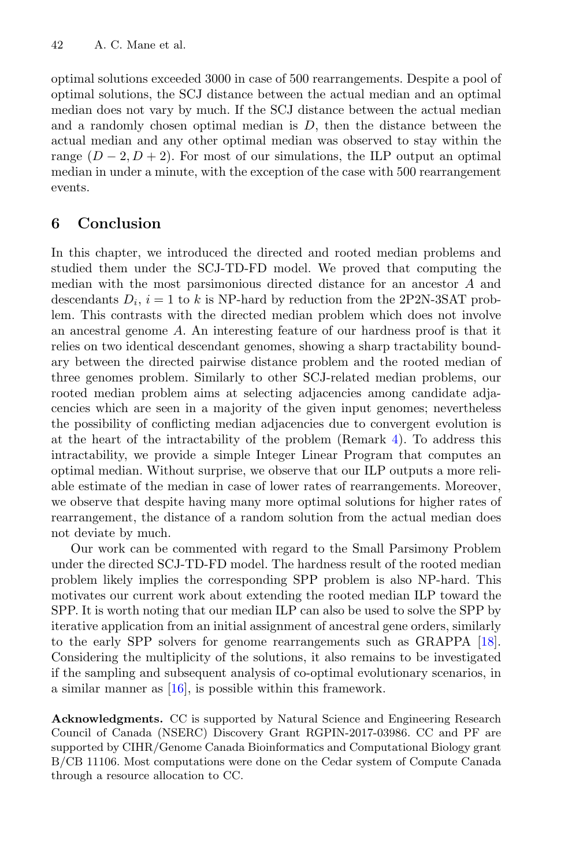optimal solutions exceeded 3000 in case of 500 rearrangements. Despite a pool of optimal solutions, the SCJ distance between the actual median and an optimal median does not vary by much. If the SCJ distance between the actual median and a randomly chosen optimal median is  $D$ , then the distance between the actual median and any other optimal median was observed to stay within the range  $(D-2, D+2)$ . For most of our simulations, the ILP output an optimal median in under a minute, with the exception of the case with 500 rearrangement events.

# **6 Conclusion**

In this chapter, we introduced the directed and rooted median problems and studied them under the SCJ-TD-FD model. We proved that computing the median with the most parsimonious directed distance for an ancestor A and descendants  $D_i$ ,  $i = 1$  to k is NP-hard by reduction from the 2P2N-3SAT problem. This contrasts with the directed median problem which does not involve an ancestral genome A. An interesting feature of our hardness proof is that it relies on two identical descendant genomes, showing a sharp tractability boundary between the directed pairwise distance problem and the rooted median of three genomes problem. Similarly to other SCJ-related median problems, our rooted median problem aims at selecting adjacencies among candidate adjacencies which are seen in a majority of the given input genomes; nevertheless the possibility of conflicting median adjacencies due to convergent evolution is at the heart of the intractability of the problem (Remark [4\)](#page-10-1). To address this intractability, we provide a simple Integer Linear Program that computes an optimal median. Without surprise, we observe that our ILP outputs a more reliable estimate of the median in case of lower rates of rearrangements. Moreover, we observe that despite having many more optimal solutions for higher rates of rearrangement, the distance of a random solution from the actual median does not deviate by much.

Our work can be commented with regard to the Small Parsimony Problem under the directed SCJ-TD-FD model. The hardness result of the rooted median problem likely implies the corresponding SPP problem is also NP-hard. This motivates our current work about extending the rooted median ILP toward the SPP. It is worth noting that our median ILP can also be used to solve the SPP by iterative application from an initial assignment of ancestral gene orders, similarly to the early SPP solvers for genome rearrangements such as GRAPPA [\[18\]](#page-20-12). Considering the multiplicity of the solutions, it also remains to be investigated if the sampling and subsequent analysis of co-optimal evolutionary scenarios, in a similar manner as [\[16](#page-20-13)], is possible within this framework.

**Acknowledgments.** CC is supported by Natural Science and Engineering Research Council of Canada (NSERC) Discovery Grant RGPIN-2017-03986. CC and PF are supported by CIHR/Genome Canada Bioinformatics and Computational Biology grant B/CB 11106. Most computations were done on the Cedar system of Compute Canada through a resource allocation to CC.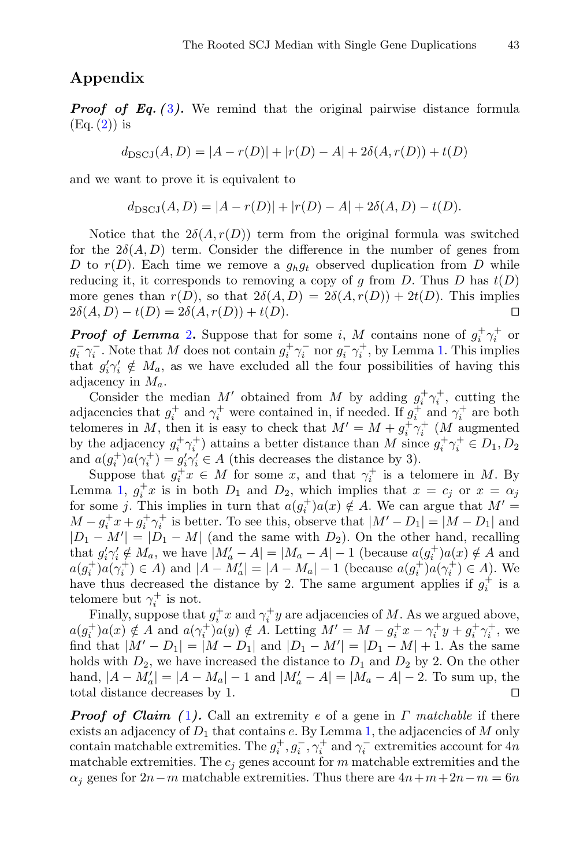# **Appendix**

*Proof of Eq. ([3](#page-4-2)).* We remind that the original pairwise distance formula  $(Eq. (2))$  $(Eq. (2))$  $(Eq. (2))$  is

$$
d_{\text{DSCJ}}(A, D) = |A - r(D)| + |r(D) - A| + 2\delta(A, r(D)) + t(D)
$$

and we want to prove it is equivalent to

$$
d_{\text{DSCJ}}(A, D) = |A - r(D)| + |r(D) - A| + 2\delta(A, D) - t(D).
$$

Notice that the  $2\delta(A, r(D))$  term from the original formula was switched for the  $2\delta(A, D)$  term. Consider the difference in the number of genes from D to  $r(D)$ . Each time we remove a  $g_h g_t$  observed duplication from D while reducing it, it corresponds to removing a copy of g from D. Thus D has  $t(D)$ more genes than  $r(D)$ , so that  $2\delta(A, D) = 2\delta(A, r(D)) + 2t(D)$ . This implies  $2\delta(A, D) - t(D) = 2\delta(A, r(D)) + t(D).$ 

*Proof of Lemma* [2](#page-6-1). Suppose that for some *i*, *M* contains none of  $g_i^+\gamma_i^+$  or  $g^-\gamma^-$ . Note that *M* does not contain  $g^+\gamma^-$  por  $g^-\gamma^+$  by Lemma 1. This implies  $g_i^-\gamma_i^-$ . Note that M does not contain  $g_i^+\gamma_i^-$  nor  $g_i^-\gamma_i^+$ , by Lemma [1.](#page-6-2) This implies<br>that  $g'_i\gamma'_i \notin M$  as we have excluded all the four possibilities of having this that  $g_i' \gamma_i' \notin M_a$ , as we have excluded all the four possibilities of having this adjacency in M adjacency in  $M_a$ .

Consider the median M' obtained from M by adding  $g_i^+ \gamma_i^+$ , cutting the acencies that  $g_i^+$  and  $\gamma^+$  were contained in if needed. If  $g_i^+$  and  $\gamma^+$  are both adjacencies that  $g_i^+$  and  $\gamma_i^+$  were contained in, if needed. If  $g_i^+$  and  $\gamma_i^+$  are both telements in M then it is easy to check that  $M' = M + a^+ \gamma^+ (M)$  augmented telomeres in M, then it is easy to check that  $M' = M + g_i^+ \gamma_i^+$  (M augmented<br>by the adjacency  $g^+ \gamma^+$ ) attains a better distance than M since  $g^+ \gamma^+ \in D$ . Do by the adjacency  $g_i^+ \gamma_i^+$  attains a better distance than M since  $g_i^+ \gamma_i^+ \in D_1, D_2$ <br>and  $g(g_+^+)g_2(\gamma^+) = g'_2(\gamma^{\prime}) \in A$  (this decreases the distance by 3) and  $a(g_i^+)a(\gamma_i^+) = g_i' \gamma_i' \in A$  (this decreases the distance by 3).<br>Suppose that  $a^+ x \in M$  for some x, and that  $\gamma_+^+$  is a te

Suppose that  $g_t^+ x \in M$  for some x, and that  $\gamma_t^+$  is a telomere in M. By Lemma [1,](#page-6-2)  $g_t^+ x$  is in both  $D_1$  and  $D_2$ , which implies that  $x = c_j$  or  $x = \alpha_j$  for some *i*. This implies in turn that  $a(a^+)a(x) \notin A$ . We can argue that  $M' =$ for some j. This implies in turn that  $a(g_i^+)a(x) \notin A$ . We can argue that  $M' = M - a^+ x + a^+ \gamma^+$  is better. To see this observe that  $|M' = D_1| = |M - D_1|$  and  $M - g_t^+ x + g_t^+ \gamma_t^+$  is better. To see this, observe that  $|M' - D_1| = |M - D_1|$  and  $|D_1 - M'| = |D_1 - M|$  (and the same with  $D_2$ ). On the other hand, recalling  $|D_1 - M'| = |D_1 - M|$  (and the same with  $D_2$ ). On the other hand, recalling that  $g_i' \gamma_i' \notin M_a$ , we have  $|M'_a - A| = |M_a - A| - 1$  (because  $a(g_i^+) a(x) \notin A$  and  $a(a^+) a(x^+) \in A$ ) and  $|A - M'| = |A - M| - 1$  (because  $a(a^+) a(x^+) \in A$ ) We  $a(g_i^+)a(\gamma_i^+) \in A$ ) and  $|A - M'_a| = |A - M_a| - 1$  (because  $a(g_i^+)a(\gamma_i^+) \in A$ ). We<br>have thus decreased the distance by 2. The same argument applies if  $a^+$  is a have thus decreased the distance by 2. The same argument applies if  $g_i^+$  is a telement but  $\alpha^+$  is not telomere but  $\gamma_i^+$  is not.<br>Finally suppose that

Finally, suppose that  $g_i^+ x$  and  $\gamma_i^+ y$  are adjacencies of M. As we argued above,<br> $f(g(x)) \notin A$  and  $g(x^+)g(y) \notin A$ . Letting  $M' = M - g^+ x - g^+ y + g^+ g^+$  we  $a(g_t^+)a(x) \notin A$  and  $a(\gamma_t^+)a(y) \notin A$ . Letting  $M' = M - g_t^+x - \gamma_t^+y + g_t^+\gamma_t^+$ , we find that  $|M' = D_t| = |M - D_t|$  and  $|D_t = M'| = |D_t| - |M| + 1$ . As the same find that  $|M' - D_1| = |M - D_1|$  and  $|D_1 - M'| = |D_1 - M| + 1$ . As the same holds with  $D_2$ , we have increased the distance to  $D_1$  and  $D_2$  by 2. On the other hand,  $|A - M'_a| = |A - M_a| - 1$  and  $|M'_a - A| = |M_a - A| - 2$ . To sum up, the total distance decreases by 1 total distance decreases by 1.

*Proof of Claim (* [1](#page-7-0)*).* Call an extremity e of a gene in Γ *matchable* if there exists an adjacency of  $D_1$  that contains e. By Lemma [1,](#page-6-2) the adjacencies of M only contain matchable extremities. The  $g_t^+, g_t^-, \gamma_t^+$  and  $\gamma_t^-$  extremities account for 4n<br>matchable extremities. The currence account for m matchable extremities and the matchable extremities. The  $c_i$  genes account for m matchable extremities and the  $\alpha_i$  genes for  $2n-m$  matchable extremities. Thus there are  $4n+m+2n-m=6n$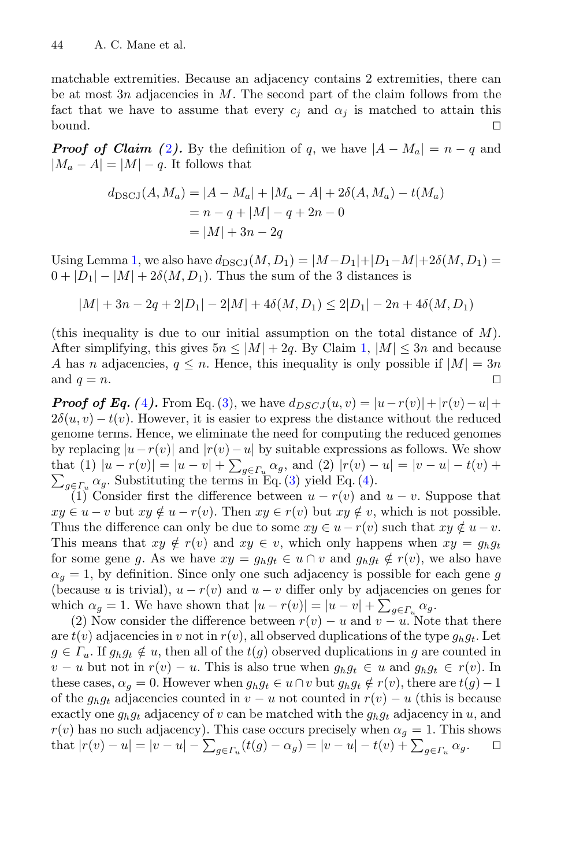matchable extremities. Because an adjacency contains 2 extremities, there can be at most  $3n$  adjacencies in M. The second part of the claim follows from the fact that we have to assume that every  $c_j$  and  $\alpha_j$  is matched to attain this bound. bound.

*Proof of Claim (*[2](#page-8-1)). By the definition of q, we have  $|A - M_a| = n - q$  and  $|M_a - A| = |M| - q$ . It follows that

$$
d_{\text{DSCJ}}(A, M_a) = |A - M_a| + |M_a - A| + 2\delta(A, M_a) - t(M_a)
$$
  
=  $n - q + |M| - q + 2n - 0$   
=  $|M| + 3n - 2q$ 

Using Lemma [1,](#page-6-2) we also have  $d_{\text{DSCJ}}(M, D_1) = |M - D_1| + |D_1 - M| + 2\delta(M, D_1) =$  $0 + |D_1| - |M| + 2\delta(M, D_1)$ . Thus the sum of the 3 distances is

$$
|M| + 3n - 2q + 2|D_1| - 2|M| + 4\delta(M, D_1) \le 2|D_1| - 2n + 4\delta(M, D_1)
$$

(this inequality is due to our initial assumption on the total distance of  $M$ ). After simplifying, this gives  $5n \leq |M| + 2q$ . By Claim [1,](#page-7-0)  $|M| \leq 3n$  and because A has n adjacencies,  $q \leq n$ . Hence, this inequality is only possible if  $|M| = 3n$  and  $q = n$ . and  $q = n$ .

*Proof of Eq. (*[4](#page-9-1)). From Eq. [\(3\)](#page-4-2), we have  $d_{DSCJ}(u, v) = |u - r(v)| + |r(v) - u| +$  $2\delta(u, v) - t(v)$ . However, it is easier to express the distance without the reduced genome terms. Hence, we eliminate the need for computing the reduced genomes by replacing  $|u-r(v)|$  and  $|r(v)-u|$  by suitable expressions as follows. We show that (1)  $|u - r(v)| = |u - v| + \sum_{g \in \Gamma_u} \alpha_g$ , and (2)  $|r(v) - u| = |v - u| - t(v) +$  $\sum_{g \in \Gamma_u} \alpha_g$ . Substituting the terms in Eq. [\(3\)](#page-4-2) yield Eq. [\(4\)](#page-9-1).<br>(1) Consider first the difference between  $u = r(v)$  and

(1) Consider first the difference between  $u - r(v)$  and  $u - v$ . Suppose that  $xy \in u - v$  but  $xy \notin u - r(v)$ . Then  $xy \in r(v)$  but  $xy \notin v$ , which is not possible. Thus the difference can only be due to some  $xy \in u - r(v)$  such that  $xy \notin u - v$ . This means that  $xy \notin r(v)$  and  $xy \in v$ , which only happens when  $xy = g_h g_t$ for some gene g. As we have  $xy = g_h g_t \in u \cap v$  and  $g_h g_t \notin r(v)$ , we also have  $\alpha_g = 1$ , by definition. Since only one such adjacency is possible for each gene g (because u is trivial),  $u - r(v)$  and  $u - v$  differ only by adjacencies on genes for which  $\alpha_g = 1$ . We have shown that  $|u - r(v)| = |u - v| + \sum_{g \in \Gamma_u} \alpha_g$ .<br>(2) Now consider the difference between  $r(v) = u$  and  $v = u$ . Not

(2) Now consider the difference between  $r(v) - u$  and  $v - u$ . Note that there are  $t(v)$  adjacencies in v not in  $r(v)$ , all observed duplications of the type  $g_h g_t$ . Let  $g \in \Gamma_u$ . If  $g_h g_t \notin u$ , then all of the  $t(g)$  observed duplications in g are counted in  $v - u$  but not in  $r(v) - u$ . This is also true when  $g_h g_t \in u$  and  $g_h g_t \in r(v)$ . In these cases,  $\alpha_g = 0$ . However when  $g_h g_t \in u \cap v$  but  $g_h g_t \notin r(v)$ , there are  $t(g) - 1$ of the  $g_h g_t$  adjacencies counted in  $v - u$  not counted in  $r(v) - u$  (this is because exactly one  $g_h g_t$  adjacency of v can be matched with the  $g_h g_t$  adjacency in u, and  $r(v)$  has no such adjacency). This case occurs precisely when  $\alpha_g = 1$ . This shows that  $|r(v) - u| = |v - u| - \sum_{c \in E} (t(q) - \alpha_o) = |v - u| - t(v) + \sum_{c \in E} \alpha_o$ . that  $|r(v) - u| = |v - u| - \sum_{g \in \Gamma_u} (t(g) - \alpha_g) = |v - u| - t(v) + \sum_{g \in \Gamma_u} \alpha_g$ .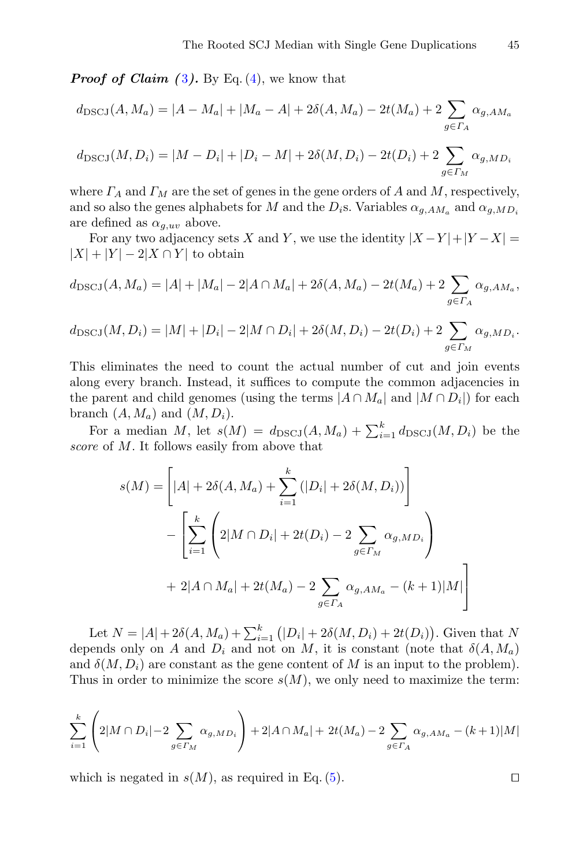*Proof of Claim ([3](#page-9-4)).* By Eq. [\(4\)](#page-9-1), we know that

$$
d_{\text{DSCJ}}(A, M_a) = |A - M_a| + |M_a - A| + 2\delta(A, M_a) - 2t(M_a) + 2\sum_{g \in \Gamma_A} \alpha_{g, AM_a}
$$
  

$$
d_{\text{DSCJ}}(M, D_i) = |M - D_i| + |D_i - M| + 2\delta(M, D_i) - 2t(D_i) + 2\sum_{g \in \Gamma_M} \alpha_{g, MD_i}
$$

where  $\Gamma_A$  and  $\Gamma_M$  are the set of genes in the gene orders of A and M, respectively, and so also the genes alphabets for M and the  $D_i$ s. Variables  $\alpha_{g,AM_a}$  and  $\alpha_{g,MD_i}$ are defined as  $\alpha_{q,uv}$  above.

For any two adjacency sets X and Y, we use the identity  $|X - Y| + |Y - X|$  $|X| + |Y| - 2|X \cap Y|$  to obtain

$$
d_{\text{DSCJ}}(A, M_a) = |A| + |M_a| - 2|A \cap M_a| + 2\delta(A, M_a) - 2t(M_a) + 2\sum_{g \in \Gamma_A} \alpha_{g, AM_a},
$$

$$
d_{\text{DSCJ}}(M, D_i) = |M| + |D_i| - 2|M \cap D_i| + 2\delta(M, D_i) - 2t(D_i) + 2\sum_{g \in \Gamma_M} \alpha_{g, MD_i}.
$$

This eliminates the need to count the actual number of cut and join events along every branch. Instead, it suffices to compute the common adjacencies in the parent and child genomes (using the terms  $|A \cap M_a|$  and  $|M \cap D_i|$ ) for each branch  $(A, M_a)$  and  $(M, D_i)$ .

For a median M, let  $s(M) = d_{\text{DSCJ}}(A, M_a) + \sum_{i=1}^{k} d_{\text{DSCJ}}(M, D_i)$  be the re of M. It follows easily from above that *score* of M. It follows easily from above that

$$
s(M) = \left[ |A| + 2\delta(A, M_a) + \sum_{i=1}^{k} (|D_i| + 2\delta(M, D_i)) \right]
$$
  
- 
$$
\left[ \sum_{i=1}^{k} \left( 2|M \cap D_i| + 2t(D_i) - 2 \sum_{g \in \Gamma_M} \alpha_{g, MD_i} \right) + 2|A \cap M_a| + 2t(M_a) - 2 \sum_{g \in \Gamma_A} \alpha_{g, AM_a} - (k+1)|M| \right]
$$

Let  $N = |A| + 2\delta(A, M_a) + \sum_{i=1}^{\kappa} (|D_i| + 2\delta(M, D_i) + 2t(D_i))$ . Given that N<br>ends only on A and D; and not on M it is constant (note that  $\delta(A, M)$ ) depends only on A and  $D_i$  and not on M, it is constant (note that  $\delta(A, M_a)$ ) and  $\delta(M, D_i)$  are constant as the gene content of M is an input to the problem). Thus in order to minimize the score  $s(M)$ , we only need to maximize the term:

$$
\sum_{i=1}^{k} \left( 2|M \cap D_i| - 2 \sum_{g \in \Gamma_M} \alpha_{g, MD_i} \right) + 2|A \cap M_a| + 2t(M_a) - 2 \sum_{g \in \Gamma_A} \alpha_{g, AM_a} - (k+1)|M|
$$

which is negated in  $s(M)$ , as required in Eq. [\(5\)](#page-9-3).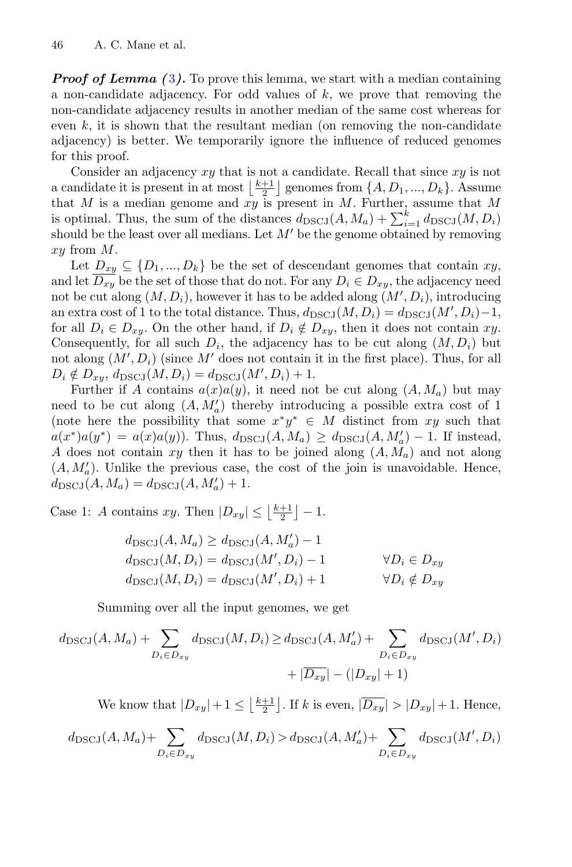*Proof of Lemma ([3](#page-10-0)).* To prove this lemma, we start with a median containing a non-candidate adjacency. For odd values of  $k$ , we prove that removing the non-candidate adjacency results in another median of the same cost whereas for even  $k$ , it is shown that the resultant median (on removing the non-candidate adjacency) is better. We temporarily ignore the influence of reduced genomes for this proof.

Consider an adjacency  $xy$  that is not a candidate. Recall that since  $xy$  is not a candidate it is present in at most  $\frac{k+1}{2}$  genomes from  $\{A, D_1, ..., D_k\}$ . Assume that M is a median genome and xy is present in M. Further, assume that M is optimal. Thus, the sum of the distances  $d_{\text{DSCJ}}(A, M_a) + \sum_{i=1}^{n} d_{\text{DSCJ}}(M, D_i)$ <br>should be the least over all medians. Let M' be the genome obtained by removing should be the least over all medians. Let  $M'$  be the genome obtained by removing xy from M.

Let  $D_{xy} \subseteq \{D_1, ..., D_k\}$  be the set of descendant genomes that contain  $xy$ , and let  $\overline{D_{xy}}$  be the set of those that do not. For any  $D_i \in D_{xy}$ , the adjacency need not be cut along  $(M, D_i)$ , however it has to be added along  $(M', D_i)$ , introducing<br>an extra sect of 1 to the total distance. Thus,  $d_{\text{max}}(M, D_i) = d_{\text{max}}(M', D_i)$ , 1 an extra cost of 1 to the total distance. Thus,  $d_{\text{DSCJ}}(M, D_i) = d_{\text{DSCJ}}(M', D_i) - 1$ ,<br>for all  $D \subset D$ . On the other hand, if  $D \not\subset D$ , then it does not contain gay for all  $D_i \in D_{xy}$ . On the other hand, if  $D_i \notin D_{xy}$ , then it does not contain xy. Consequently, for all such  $D_i$ , the adjacency has to be cut along  $(M, D_i)$  but not along  $(M', D_i)$  (since M' does not contain it in the first place). Thus, for all  $D_i \notin D_{xy}, d_{\text{DSCJ}}(M, D_i) = d_{\text{DSCJ}}(M', D_i) + 1.$ <br>Euribor if A contains  $c(x)c(x)$  it need not

Further if A contains  $a(x)a(y)$ , it need not be cut along  $(A, M_a)$  but may need to be cut along  $(A, M'_a)$  thereby introducing a possible extra cost of 1<br>(note here the possibility that some  $x^*y^* \in M$  distinct from  $xy$  such that (note here the possibility that some  $x^*y^* \in M$  distinct from xy such that  $a(x^*)a(y^*) = a(x)a(y)$ . Thus,  $d_{\text{DSCJ}}(A, M_a) \geq d_{\text{DSCJ}}(A, M'_a) - 1$ . If instead, <br>A does not contain xu then it has to be joined along  $(A, M)$  and not along A does not contain xy then it has to be joined along  $(A, M_a)$  and not along  $(A, M'_a)$ . Unlike the previous case, the cost of the join is unavoidable. Hence,  $d_{\text{DQOZ}}(A, M) = d_{\text{DQOZ}}(A, M') + 1$  $d_{\text{DSCJ}}(A, M_a) = d_{\text{DSCJ}}(A, M'_a) + 1.$ 

Case 1: A contains xy. Then  $|D_{xy}| \leq \left\lfloor \frac{k+1}{2} \right\rfloor - 1$ .

$$
d_{\text{DSCJ}}(A, M_a) \ge d_{\text{DSCJ}}(A, M'_a) - 1
$$
  
\n
$$
d_{\text{DSCJ}}(M, D_i) = d_{\text{DSCJ}}(M', D_i) - 1 \qquad \forall D_i \in D_{xy}
$$
  
\n
$$
d_{\text{DSCJ}}(M, D_i) = d_{\text{DSCJ}}(M', D_i) + 1 \qquad \forall D_i \notin D_{xy}
$$

Summing over all the input genomes, we get

$$
d_{\text{DSCJ}}(A, M_a) + \sum_{D_i \in D_{xy}} d_{\text{DSCJ}}(M, D_i) \ge d_{\text{DSCJ}}(A, M'_a) + \sum_{D_i \in D_{xy}} d_{\text{DSCJ}}(M', D_i)
$$
  
+  $|\overline{D_{xy}}| - (|D_{xy}| + 1)$ 

We know that  $|D_{xy}|+1 \leq \lfloor \frac{k+1}{2} \rfloor$ . If k is even,  $|\overline{D_{xy}}| > |D_{xy}|+1$ . Hence,

$$
d_{\text{DSCJ}}(A, M_a) + \sum_{D_i \in D_{xy}} d_{\text{DSCJ}}(M, D_i) > d_{\text{DSCJ}}(A, M'_a) + \sum_{D_i \in D_{xy}} d_{\text{DSCJ}}(M', D_i)
$$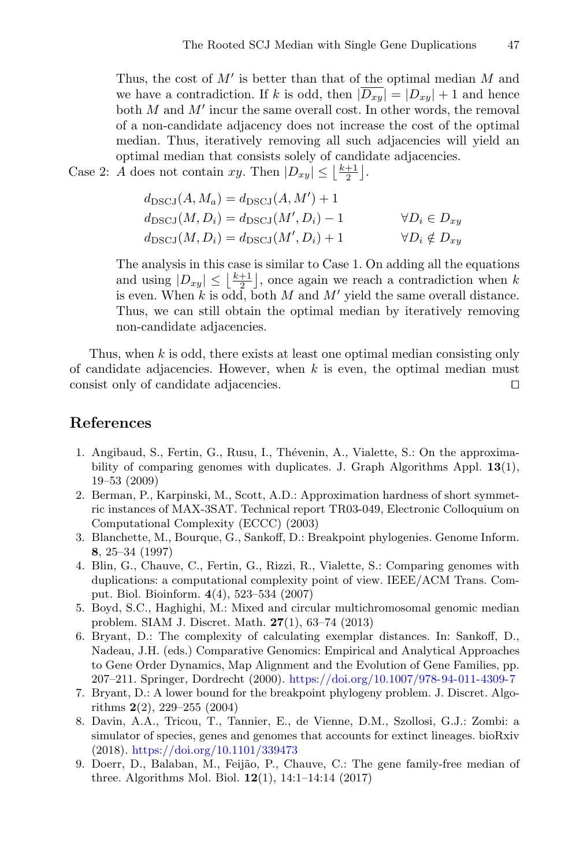Thus, the cost of  $M'$  is better than that of the optimal median M and we have a contradiction. If k is odd, then  $|\overline{D_{xy}}| = |D_{xy}| + 1$  and hence both  $M$  and  $M'$  incur the same overall cost. In other words, the removal of a non-candidate adjacency does not increase the cost of the optimal median. Thus, iteratively removing all such adjacencies will yield an optimal median that consists solely of candidate adjacencies.

Case 2: A does not contain xy. Then  $|D_{xy}| \leq \lfloor \frac{k+1}{2} \rfloor$ .

$$
d_{\text{DSCJ}}(A, M_a) = d_{\text{DSCJ}}(A, M') + 1
$$
  
\n
$$
d_{\text{DSCJ}}(M, D_i) = d_{\text{DSCJ}}(M', D_i) - 1 \qquad \forall D_i \in D_{xy}
$$
  
\n
$$
d_{\text{DSCJ}}(M, D_i) = d_{\text{DSCJ}}(M', D_i) + 1 \qquad \forall D_i \notin D_{xy}
$$

The analysis in this case is similar to Case 1. On adding all the equations and using  $|D_{xy}| \leq \lfloor \frac{k+1}{2} \rfloor$ , once again we reach a contradiction when k<br>is even When k is odd both M and M' viold the same event distance is even. When k is odd, both M and M' yield the same overall distance. Thus, we can still obtain the optimal median by iteratively removing non-candidate adjacencies.

Thus, when k is odd, there exists at least one optimal median consisting only of candidate adjacencies. However, when  $k$  is even, the optimal median must consist only of candidate adjacencies.

# **References**

- <span id="page-19-4"></span>1. Angibaud, S., Fertin, G., Rusu, I., Thévenin, A., Vialette, S.: On the approximability of comparing genomes with duplicates. J. Graph Algorithms Appl. **13**(1), 19–53 (2009)
- <span id="page-19-7"></span>2. Berman, P., Karpinski, M., Scott, A.D.: Approximation hardness of short symmetric instances of MAX-3SAT. Technical report TR03-049, Electronic Colloquium on Computational Complexity (ECCC) (2003)
- <span id="page-19-0"></span>3. Blanchette, M., Bourque, G., Sankoff, D.: Breakpoint phylogenies. Genome Inform. **8**, 25–34 (1997)
- <span id="page-19-5"></span>4. Blin, G., Chauve, C., Fertin, G., Rizzi, R., Vialette, S.: Comparing genomes with duplications: a computational complexity point of view. IEEE/ACM Trans. Comput. Biol. Bioinform. **4**(4), 523–534 (2007)
- <span id="page-19-2"></span>5. Boyd, S.C., Haghighi, M.: Mixed and circular multichromosomal genomic median problem. SIAM J. Discret. Math. **27**(1), 63–74 (2013)
- <span id="page-19-6"></span>6. Bryant, D.: The complexity of calculating exemplar distances. In: Sankoff, D., Nadeau, J.H. (eds.) Comparative Genomics: Empirical and Analytical Approaches to Gene Order Dynamics, Map Alignment and the Evolution of Gene Families, pp. 207–211. Springer, Dordrecht (2000). <https://doi.org/10.1007/978-94-011-4309-7>
- <span id="page-19-1"></span>7. Bryant, D.: A lower bound for the breakpoint phylogeny problem. J. Discret. Algorithms **2**(2), 229–255 (2004)
- <span id="page-19-8"></span>8. Davin, A.A., Tricou, T., Tannier, E., de Vienne, D.M., Szollosi, G.J.: Zombi: a simulator of species, genes and genomes that accounts for extinct lineages. bioRxiv (2018). <https://doi.org/10.1101/339473>
- <span id="page-19-3"></span>9. Doerr, D., Balaban, M., Feijão, P., Chauve, C.: The gene family-free median of three. Algorithms Mol. Biol. **12**(1), 14:1–14:14 (2017)